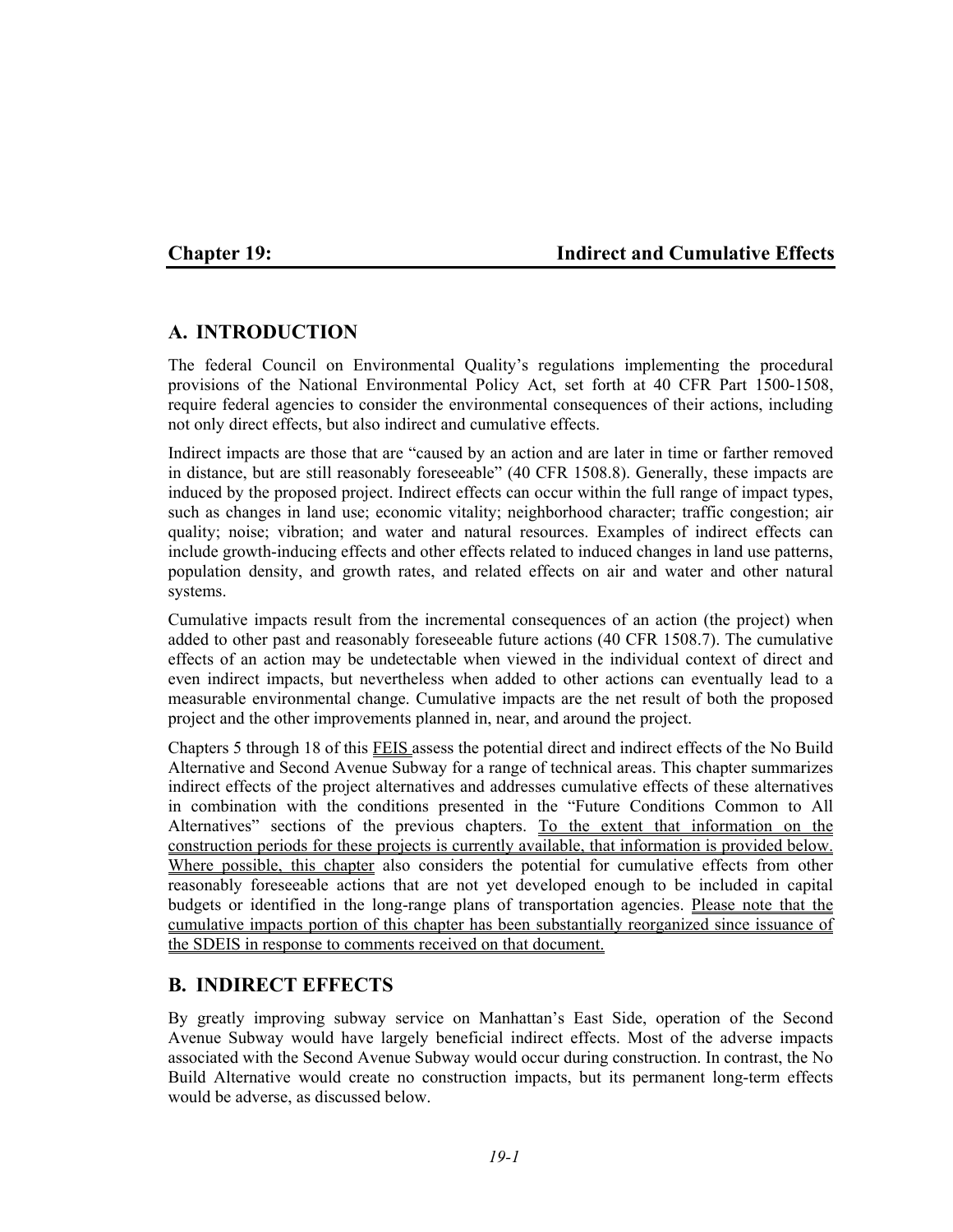# **Chapter 19: Indirect and Cumulative Effects**

# **A. INTRODUCTION**

The federal Council on Environmental Quality's regulations implementing the procedural provisions of the National Environmental Policy Act, set forth at 40 CFR Part 1500-1508, require federal agencies to consider the environmental consequences of their actions, including not only direct effects, but also indirect and cumulative effects.

Indirect impacts are those that are "caused by an action and are later in time or farther removed in distance, but are still reasonably foreseeable" (40 CFR 1508.8). Generally, these impacts are induced by the proposed project. Indirect effects can occur within the full range of impact types, such as changes in land use; economic vitality; neighborhood character; traffic congestion; air quality; noise; vibration; and water and natural resources. Examples of indirect effects can include growth-inducing effects and other effects related to induced changes in land use patterns, population density, and growth rates, and related effects on air and water and other natural systems.

Cumulative impacts result from the incremental consequences of an action (the project) when added to other past and reasonably foreseeable future actions (40 CFR 1508.7). The cumulative effects of an action may be undetectable when viewed in the individual context of direct and even indirect impacts, but nevertheless when added to other actions can eventually lead to a measurable environmental change. Cumulative impacts are the net result of both the proposed project and the other improvements planned in, near, and around the project.

Chapters 5 through 18 of this FEIS assess the potential direct and indirect effects of the No Build Alternative and Second Avenue Subway for a range of technical areas. This chapter summarizes indirect effects of the project alternatives and addresses cumulative effects of these alternatives in combination with the conditions presented in the "Future Conditions Common to All Alternatives" sections of the previous chapters. To the extent that information on the construction periods for these projects is currently available, that information is provided below. Where possible, this chapter also considers the potential for cumulative effects from other reasonably foreseeable actions that are not yet developed enough to be included in capital budgets or identified in the long-range plans of transportation agencies. Please note that the cumulative impacts portion of this chapter has been substantially reorganized since issuance of the SDEIS in response to comments received on that document.

# **B. INDIRECT EFFECTS**

By greatly improving subway service on Manhattan's East Side, operation of the Second Avenue Subway would have largely beneficial indirect effects. Most of the adverse impacts associated with the Second Avenue Subway would occur during construction. In contrast, the No Build Alternative would create no construction impacts, but its permanent long-term effects would be adverse, as discussed below.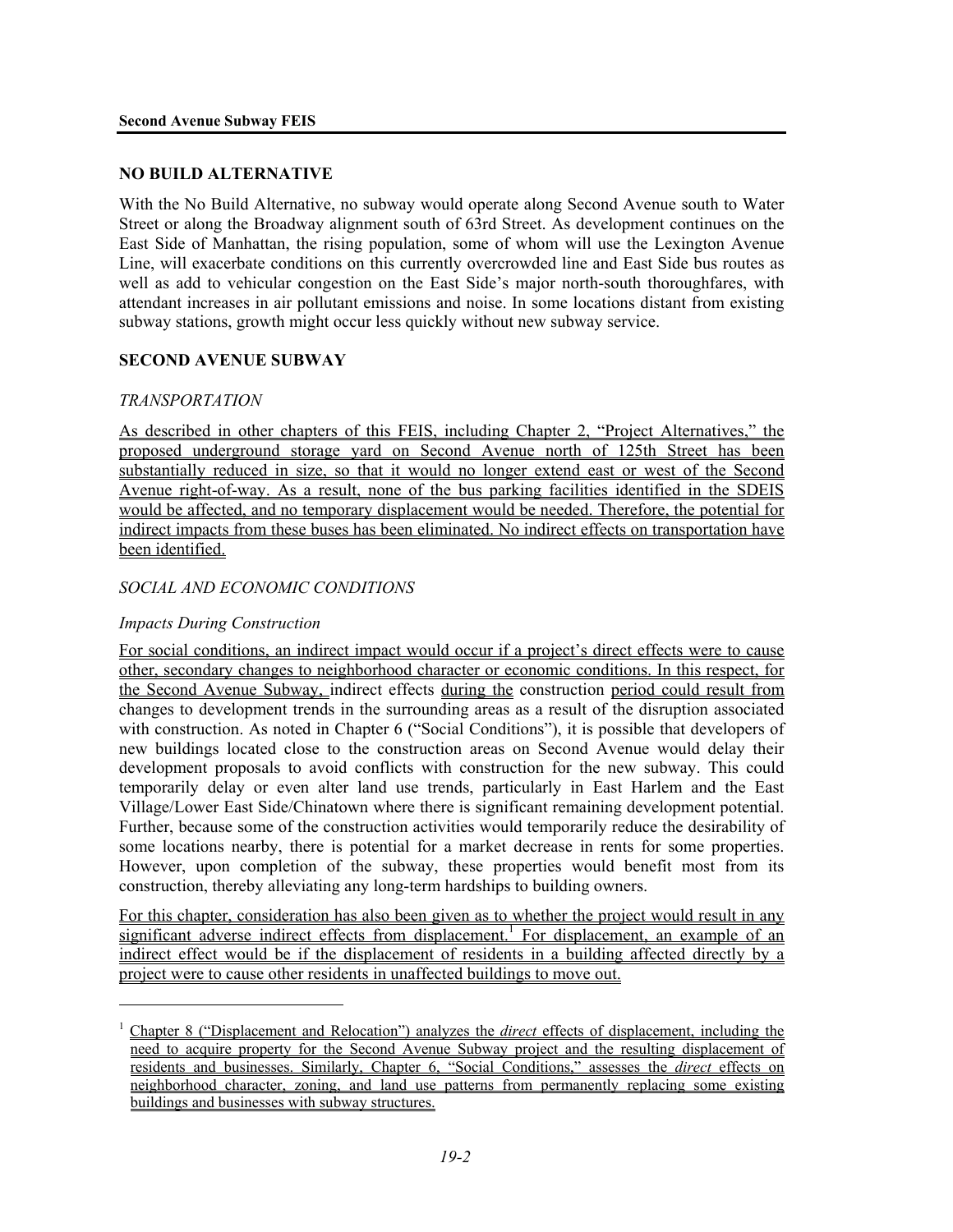#### **NO BUILD ALTERNATIVE**

With the No Build Alternative, no subway would operate along Second Avenue south to Water Street or along the Broadway alignment south of 63rd Street. As development continues on the East Side of Manhattan, the rising population, some of whom will use the Lexington Avenue Line, will exacerbate conditions on this currently overcrowded line and East Side bus routes as well as add to vehicular congestion on the East Side's major north-south thoroughfares, with attendant increases in air pollutant emissions and noise. In some locations distant from existing subway stations, growth might occur less quickly without new subway service.

#### **SECOND AVENUE SUBWAY**

#### *TRANSPORTATION*

As described in other chapters of this FEIS, including Chapter 2, "Project Alternatives," the proposed underground storage yard on Second Avenue north of 125th Street has been substantially reduced in size, so that it would no longer extend east or west of the Second Avenue right-of-way. As a result, none of the bus parking facilities identified in the SDEIS would be affected, and no temporary displacement would be needed. Therefore, the potential for indirect impacts from these buses has been eliminated. No indirect effects on transportation have been identified.

#### *SOCIAL AND ECONOMIC CONDITIONS*

#### *Impacts During Construction*

l

For social conditions, an indirect impact would occur if a project's direct effects were to cause other, secondary changes to neighborhood character or economic conditions. In this respect, for the Second Avenue Subway, indirect effects during the construction period could result from changes to development trends in the surrounding areas as a result of the disruption associated with construction. As noted in Chapter 6 ("Social Conditions"), it is possible that developers of new buildings located close to the construction areas on Second Avenue would delay their development proposals to avoid conflicts with construction for the new subway. This could temporarily delay or even alter land use trends, particularly in East Harlem and the East Village/Lower East Side/Chinatown where there is significant remaining development potential. Further, because some of the construction activities would temporarily reduce the desirability of some locations nearby, there is potential for a market decrease in rents for some properties. However, upon completion of the subway, these properties would benefit most from its construction, thereby alleviating any long-term hardships to building owners.

For this chapter, consideration has also been given as to whether the project would result in any significant adverse indirect effects from displacement.<sup>1</sup> For displacement, an example of an indirect effect would be if the displacement of residents in a building affected directly by a project were to cause other residents in unaffected buildings to move out.

<sup>1</sup> Chapter 8 ("Displacement and Relocation") analyzes the *direct* effects of displacement, including the need to acquire property for the Second Avenue Subway project and the resulting displacement of residents and businesses. Similarly, Chapter 6, "Social Conditions," assesses the *direct* effects on neighborhood character, zoning, and land use patterns from permanently replacing some existing buildings and businesses with subway structures.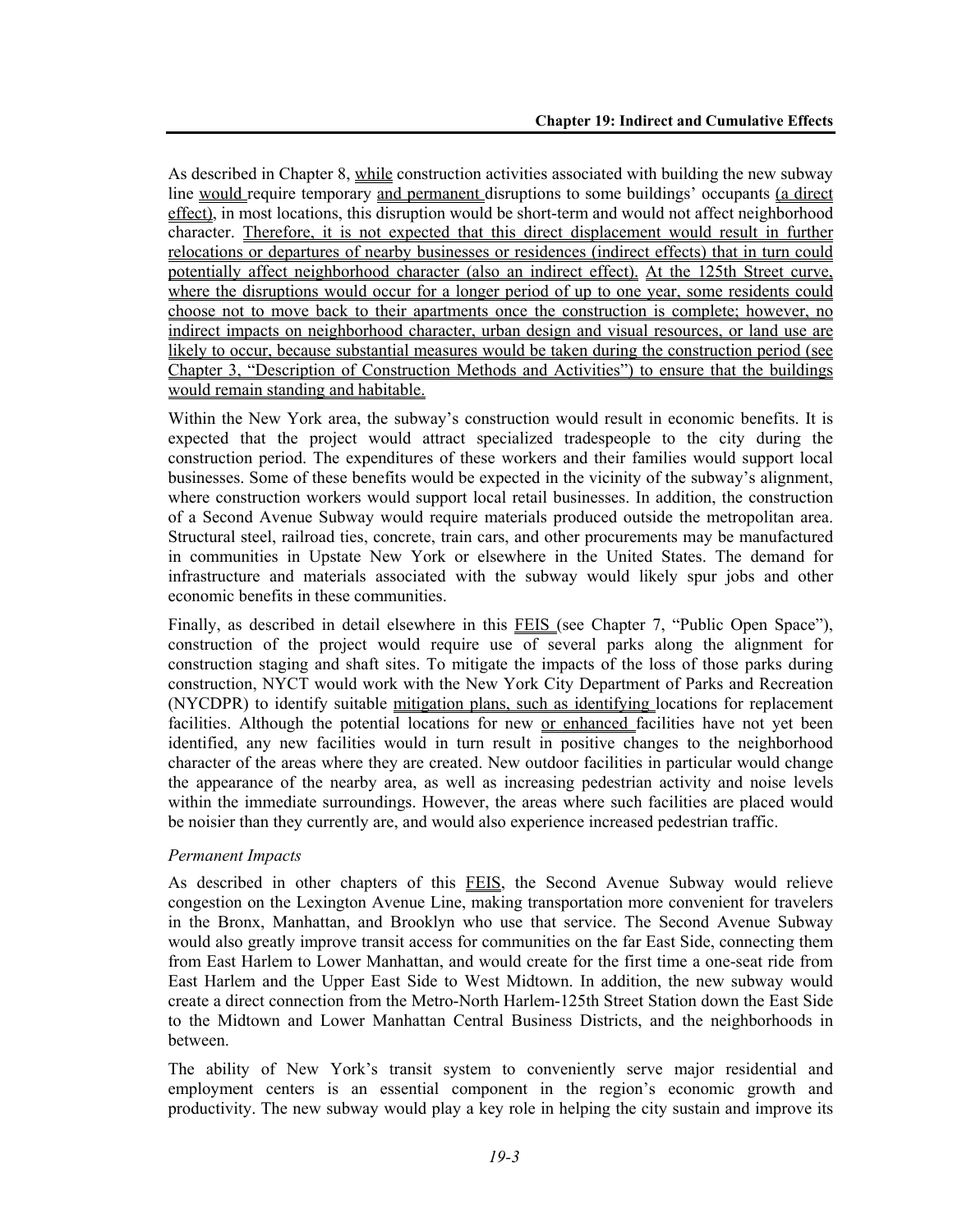As described in Chapter 8, while construction activities associated with building the new subway line would require temporary and permanent disruptions to some buildings' occupants (a direct effect), in most locations, this disruption would be short-term and would not affect neighborhood character. Therefore, it is not expected that this direct displacement would result in further relocations or departures of nearby businesses or residences (indirect effects) that in turn could potentially affect neighborhood character (also an indirect effect). At the 125th Street curve, where the disruptions would occur for a longer period of up to one year, some residents could choose not to move back to their apartments once the construction is complete; however, no indirect impacts on neighborhood character, urban design and visual resources, or land use are likely to occur, because substantial measures would be taken during the construction period (see Chapter 3, "Description of Construction Methods and Activities") to ensure that the buildings would remain standing and habitable.

Within the New York area, the subway's construction would result in economic benefits. It is expected that the project would attract specialized tradespeople to the city during the construction period. The expenditures of these workers and their families would support local businesses. Some of these benefits would be expected in the vicinity of the subway's alignment, where construction workers would support local retail businesses. In addition, the construction of a Second Avenue Subway would require materials produced outside the metropolitan area. Structural steel, railroad ties, concrete, train cars, and other procurements may be manufactured in communities in Upstate New York or elsewhere in the United States. The demand for infrastructure and materials associated with the subway would likely spur jobs and other economic benefits in these communities.

Finally, as described in detail elsewhere in this FEIS (see Chapter 7, "Public Open Space"), construction of the project would require use of several parks along the alignment for construction staging and shaft sites. To mitigate the impacts of the loss of those parks during construction, NYCT would work with the New York City Department of Parks and Recreation (NYCDPR) to identify suitable mitigation plans, such as identifying locations for replacement facilities. Although the potential locations for new or enhanced facilities have not yet been identified, any new facilities would in turn result in positive changes to the neighborhood character of the areas where they are created. New outdoor facilities in particular would change the appearance of the nearby area, as well as increasing pedestrian activity and noise levels within the immediate surroundings. However, the areas where such facilities are placed would be noisier than they currently are, and would also experience increased pedestrian traffic.

#### *Permanent Impacts*

As described in other chapters of this FEIS, the Second Avenue Subway would relieve congestion on the Lexington Avenue Line, making transportation more convenient for travelers in the Bronx, Manhattan, and Brooklyn who use that service. The Second Avenue Subway would also greatly improve transit access for communities on the far East Side, connecting them from East Harlem to Lower Manhattan, and would create for the first time a one-seat ride from East Harlem and the Upper East Side to West Midtown. In addition, the new subway would create a direct connection from the Metro-North Harlem-125th Street Station down the East Side to the Midtown and Lower Manhattan Central Business Districts, and the neighborhoods in between.

The ability of New York's transit system to conveniently serve major residential and employment centers is an essential component in the region's economic growth and productivity. The new subway would play a key role in helping the city sustain and improve its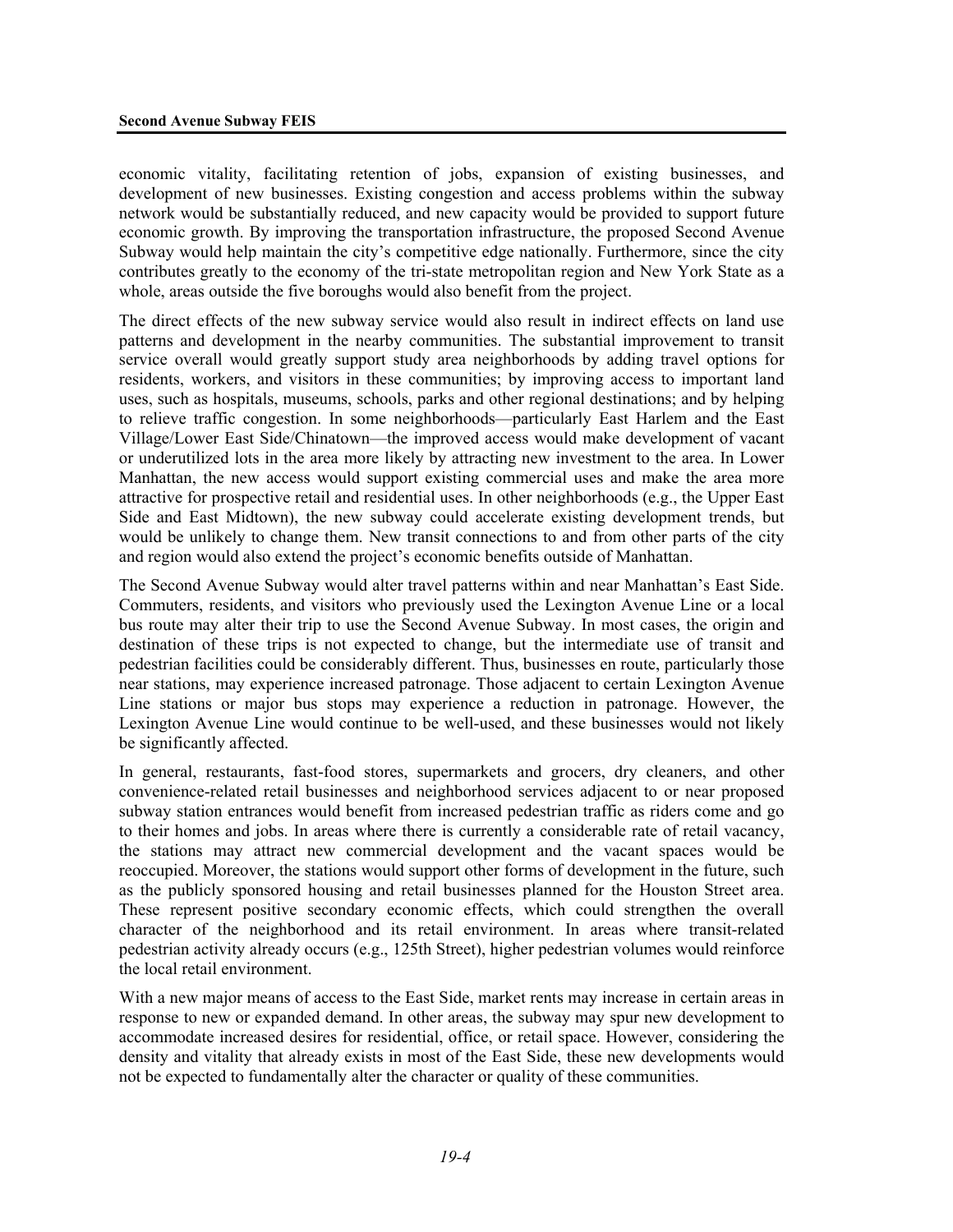economic vitality, facilitating retention of jobs, expansion of existing businesses, and development of new businesses. Existing congestion and access problems within the subway network would be substantially reduced, and new capacity would be provided to support future economic growth. By improving the transportation infrastructure, the proposed Second Avenue Subway would help maintain the city's competitive edge nationally. Furthermore, since the city contributes greatly to the economy of the tri-state metropolitan region and New York State as a whole, areas outside the five boroughs would also benefit from the project.

The direct effects of the new subway service would also result in indirect effects on land use patterns and development in the nearby communities. The substantial improvement to transit service overall would greatly support study area neighborhoods by adding travel options for residents, workers, and visitors in these communities; by improving access to important land uses, such as hospitals, museums, schools, parks and other regional destinations; and by helping to relieve traffic congestion. In some neighborhoods—particularly East Harlem and the East Village/Lower East Side/Chinatown—the improved access would make development of vacant or underutilized lots in the area more likely by attracting new investment to the area. In Lower Manhattan, the new access would support existing commercial uses and make the area more attractive for prospective retail and residential uses. In other neighborhoods (e.g., the Upper East Side and East Midtown), the new subway could accelerate existing development trends, but would be unlikely to change them. New transit connections to and from other parts of the city and region would also extend the project's economic benefits outside of Manhattan.

The Second Avenue Subway would alter travel patterns within and near Manhattan's East Side. Commuters, residents, and visitors who previously used the Lexington Avenue Line or a local bus route may alter their trip to use the Second Avenue Subway. In most cases, the origin and destination of these trips is not expected to change, but the intermediate use of transit and pedestrian facilities could be considerably different. Thus, businesses en route, particularly those near stations, may experience increased patronage. Those adjacent to certain Lexington Avenue Line stations or major bus stops may experience a reduction in patronage. However, the Lexington Avenue Line would continue to be well-used, and these businesses would not likely be significantly affected.

In general, restaurants, fast-food stores, supermarkets and grocers, dry cleaners, and other convenience-related retail businesses and neighborhood services adjacent to or near proposed subway station entrances would benefit from increased pedestrian traffic as riders come and go to their homes and jobs. In areas where there is currently a considerable rate of retail vacancy, the stations may attract new commercial development and the vacant spaces would be reoccupied. Moreover, the stations would support other forms of development in the future, such as the publicly sponsored housing and retail businesses planned for the Houston Street area. These represent positive secondary economic effects, which could strengthen the overall character of the neighborhood and its retail environment. In areas where transit-related pedestrian activity already occurs (e.g., 125th Street), higher pedestrian volumes would reinforce the local retail environment.

With a new major means of access to the East Side, market rents may increase in certain areas in response to new or expanded demand. In other areas, the subway may spur new development to accommodate increased desires for residential, office, or retail space. However, considering the density and vitality that already exists in most of the East Side, these new developments would not be expected to fundamentally alter the character or quality of these communities.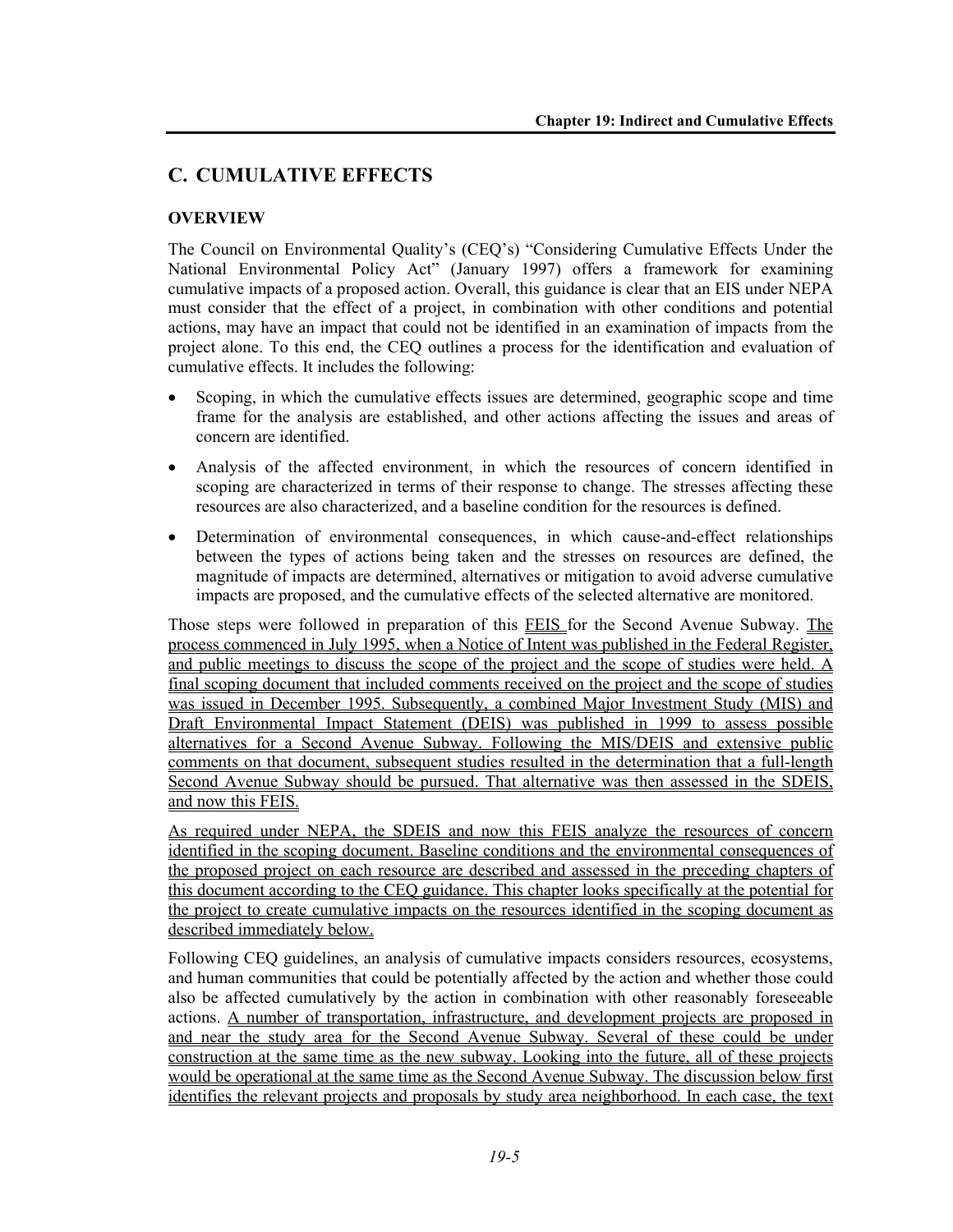# **C. CUMULATIVE EFFECTS**

#### **OVERVIEW**

The Council on Environmental Quality's (CEQ's) "Considering Cumulative Effects Under the National Environmental Policy Act" (January 1997) offers a framework for examining cumulative impacts of a proposed action. Overall, this guidance is clear that an EIS under NEPA must consider that the effect of a project, in combination with other conditions and potential actions, may have an impact that could not be identified in an examination of impacts from the project alone. To this end, the CEQ outlines a process for the identification and evaluation of cumulative effects. It includes the following:

- Scoping, in which the cumulative effects issues are determined, geographic scope and time frame for the analysis are established, and other actions affecting the issues and areas of concern are identified.
- Analysis of the affected environment, in which the resources of concern identified in scoping are characterized in terms of their response to change. The stresses affecting these resources are also characterized, and a baseline condition for the resources is defined.
- Determination of environmental consequences, in which cause-and-effect relationships between the types of actions being taken and the stresses on resources are defined, the magnitude of impacts are determined, alternatives or mitigation to avoid adverse cumulative impacts are proposed, and the cumulative effects of the selected alternative are monitored.

Those steps were followed in preparation of this FEIS for the Second Avenue Subway. The process commenced in July 1995, when a Notice of Intent was published in the Federal Register, and public meetings to discuss the scope of the project and the scope of studies were held. A final scoping document that included comments received on the project and the scope of studies was issued in December 1995. Subsequently, a combined Major Investment Study (MIS) and Draft Environmental Impact Statement (DEIS) was published in 1999 to assess possible alternatives for a Second Avenue Subway. Following the MIS/DEIS and extensive public comments on that document, subsequent studies resulted in the determination that a full-length Second Avenue Subway should be pursued. That alternative was then assessed in the SDEIS, and now this FEIS.

As required under NEPA, the SDEIS and now this FEIS analyze the resources of concern identified in the scoping document. Baseline conditions and the environmental consequences of the proposed project on each resource are described and assessed in the preceding chapters of this document according to the CEQ guidance. This chapter looks specifically at the potential for the project to create cumulative impacts on the resources identified in the scoping document as described immediately below.

Following CEQ guidelines, an analysis of cumulative impacts considers resources, ecosystems, and human communities that could be potentially affected by the action and whether those could also be affected cumulatively by the action in combination with other reasonably foreseeable actions. A number of transportation, infrastructure, and development projects are proposed in and near the study area for the Second Avenue Subway. Several of these could be under construction at the same time as the new subway. Looking into the future, all of these projects would be operational at the same time as the Second Avenue Subway. The discussion below first identifies the relevant projects and proposals by study area neighborhood. In each case, the text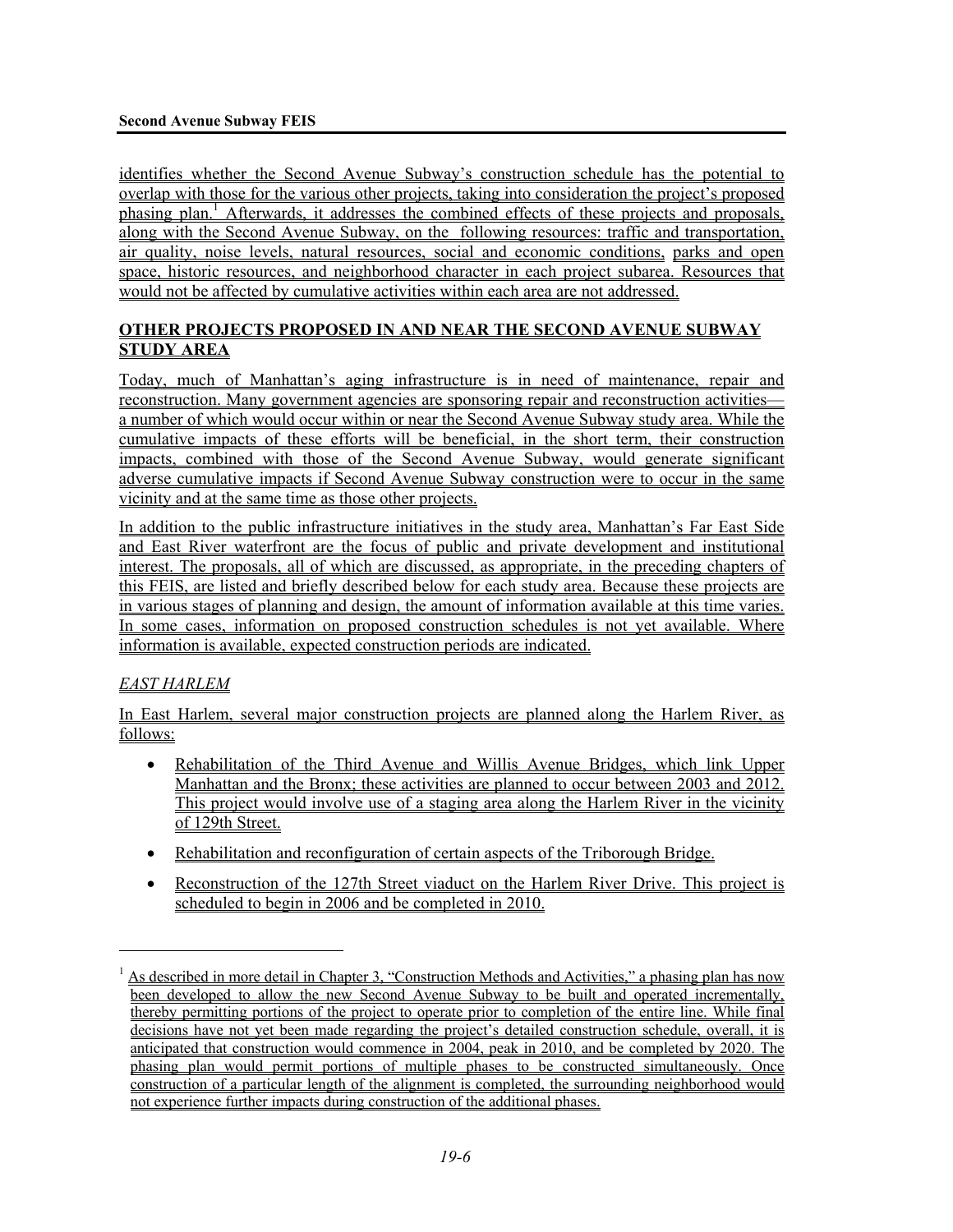identifies whether the Second Avenue Subway's construction schedule has the potential to overlap with those for the various other projects, taking into consideration the project's proposed phasing plan.<sup>1</sup> Afterwards, it addresses the combined effects of these projects and proposals, along with the Second Avenue Subway, on the following resources: traffic and transportation, air quality, noise levels, natural resources, social and economic conditions, parks and open space, historic resources, and neighborhood character in each project subarea. Resources that would not be affected by cumulative activities within each area are not addressed.

## **OTHER PROJECTS PROPOSED IN AND NEAR THE SECOND AVENUE SUBWAY STUDY AREA**

Today, much of Manhattan's aging infrastructure is in need of maintenance, repair and reconstruction. Many government agencies are sponsoring repair and reconstruction activities a number of which would occur within or near the Second Avenue Subway study area. While the cumulative impacts of these efforts will be beneficial, in the short term, their construction impacts, combined with those of the Second Avenue Subway, would generate significant adverse cumulative impacts if Second Avenue Subway construction were to occur in the same vicinity and at the same time as those other projects.

In addition to the public infrastructure initiatives in the study area, Manhattan's Far East Side and East River waterfront are the focus of public and private development and institutional interest. The proposals, all of which are discussed, as appropriate, in the preceding chapters of this FEIS, are listed and briefly described below for each study area. Because these projects are in various stages of planning and design, the amount of information available at this time varies. In some cases, information on proposed construction schedules is not yet available. Where information is available, expected construction periods are indicated.

# *EAST HARLEM*

1

In East Harlem, several major construction projects are planned along the Harlem River, as follows:

- Rehabilitation of the Third Avenue and Willis Avenue Bridges, which link Upper Manhattan and the Bronx; these activities are planned to occur between 2003 and 2012. This project would involve use of a staging area along the Harlem River in the vicinity of 129th Street.
- Rehabilitation and reconfiguration of certain aspects of the Triborough Bridge.
- Reconstruction of the 127th Street viaduct on the Harlem River Drive. This project is scheduled to begin in 2006 and be completed in 2010.

<sup>&</sup>lt;sup>1</sup> As described in more detail in Chapter 3, "Construction Methods and Activities," a phasing plan has now been developed to allow the new Second Avenue Subway to be built and operated incrementally, thereby permitting portions of the project to operate prior to completion of the entire line. While final decisions have not yet been made regarding the project's detailed construction schedule, overall, it is anticipated that construction would commence in 2004, peak in 2010, and be completed by 2020. The phasing plan would permit portions of multiple phases to be constructed simultaneously. Once construction of a particular length of the alignment is completed, the surrounding neighborhood would not experience further impacts during construction of the additional phases.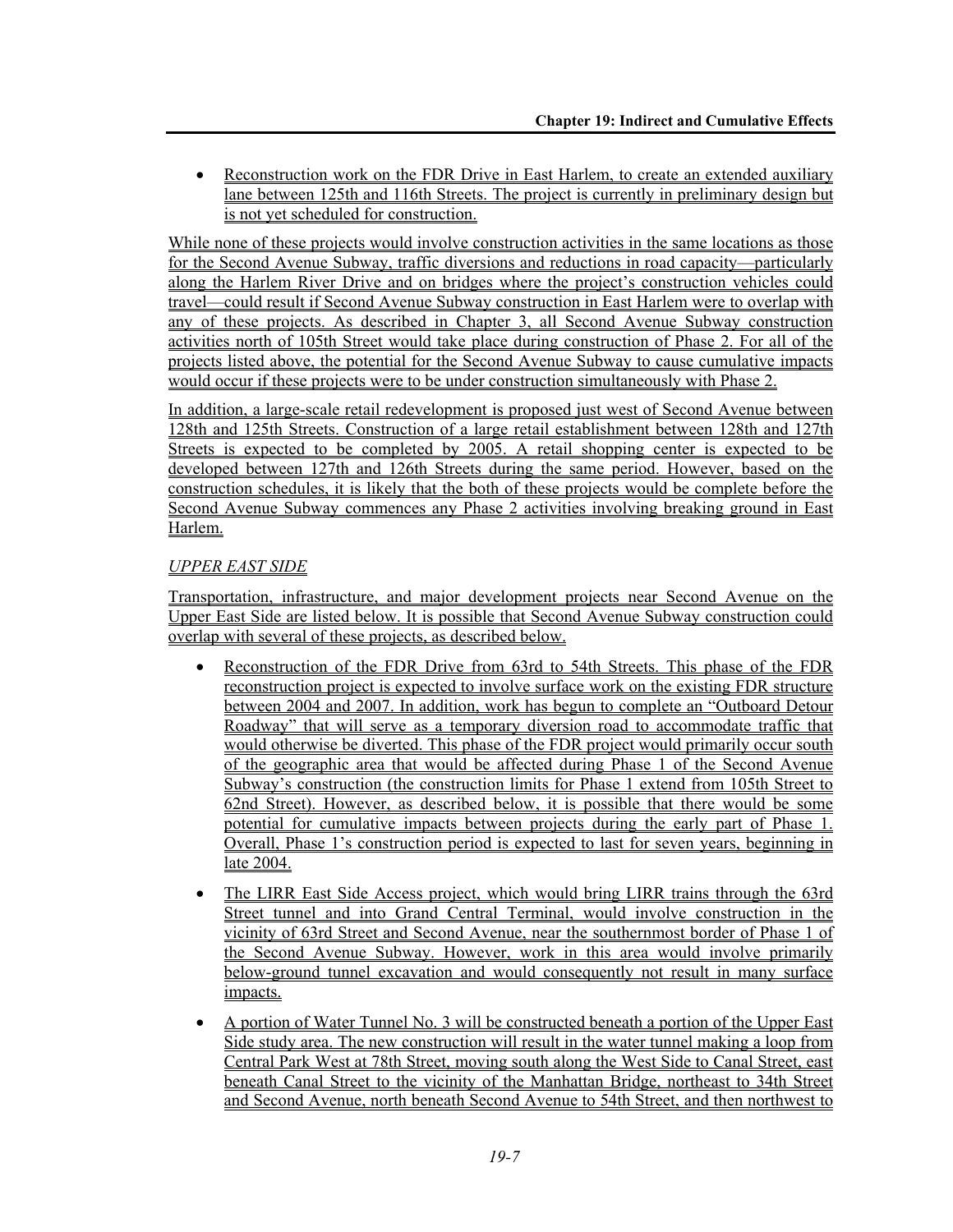• Reconstruction work on the FDR Drive in East Harlem, to create an extended auxiliary lane between 125th and 116th Streets. The project is currently in preliminary design but is not yet scheduled for construction.

While none of these projects would involve construction activities in the same locations as those for the Second Avenue Subway, traffic diversions and reductions in road capacity—particularly along the Harlem River Drive and on bridges where the project's construction vehicles could travel—could result if Second Avenue Subway construction in East Harlem were to overlap with any of these projects. As described in Chapter 3, all Second Avenue Subway construction activities north of 105th Street would take place during construction of Phase 2. For all of the projects listed above, the potential for the Second Avenue Subway to cause cumulative impacts would occur if these projects were to be under construction simultaneously with Phase 2.

In addition, a large-scale retail redevelopment is proposed just west of Second Avenue between 128th and 125th Streets. Construction of a large retail establishment between 128th and 127th Streets is expected to be completed by 2005. A retail shopping center is expected to be developed between 127th and 126th Streets during the same period. However, based on the construction schedules, it is likely that the both of these projects would be complete before the Second Avenue Subway commences any Phase 2 activities involving breaking ground in East Harlem.

## *UPPER EAST SIDE*

Transportation, infrastructure, and major development projects near Second Avenue on the Upper East Side are listed below. It is possible that Second Avenue Subway construction could overlap with several of these projects, as described below.

- Reconstruction of the FDR Drive from 63rd to 54th Streets. This phase of the FDR reconstruction project is expected to involve surface work on the existing FDR structure between 2004 and 2007. In addition, work has begun to complete an "Outboard Detour Roadway" that will serve as a temporary diversion road to accommodate traffic that would otherwise be diverted. This phase of the FDR project would primarily occur south of the geographic area that would be affected during Phase 1 of the Second Avenue Subway's construction (the construction limits for Phase 1 extend from 105th Street to 62nd Street). However, as described below, it is possible that there would be some potential for cumulative impacts between projects during the early part of Phase 1. Overall, Phase 1's construction period is expected to last for seven years, beginning in late 2004.
- The LIRR East Side Access project, which would bring LIRR trains through the 63rd Street tunnel and into Grand Central Terminal, would involve construction in the vicinity of 63rd Street and Second Avenue, near the southernmost border of Phase 1 of the Second Avenue Subway. However, work in this area would involve primarily below-ground tunnel excavation and would consequently not result in many surface impacts.
- A portion of Water Tunnel No. 3 will be constructed beneath a portion of the Upper East Side study area. The new construction will result in the water tunnel making a loop from Central Park West at 78th Street, moving south along the West Side to Canal Street, east beneath Canal Street to the vicinity of the Manhattan Bridge, northeast to 34th Street and Second Avenue, north beneath Second Avenue to 54th Street, and then northwest to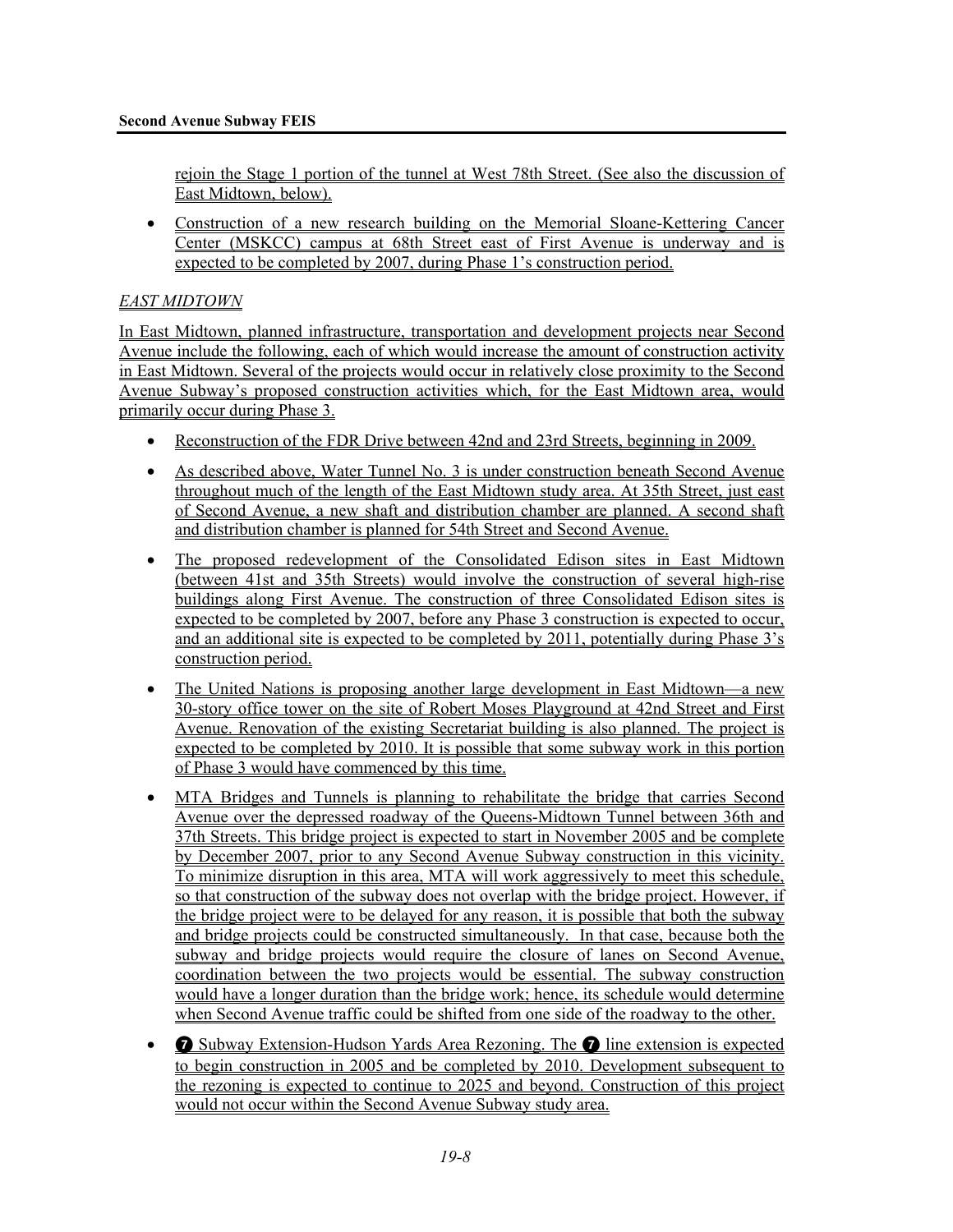rejoin the Stage 1 portion of the tunnel at West 78th Street. (See also the discussion of East Midtown, below).

• Construction of a new research building on the Memorial Sloane-Kettering Cancer Center (MSKCC) campus at 68th Street east of First Avenue is underway and is expected to be completed by 2007, during Phase 1's construction period.

#### *EAST MIDTOWN*

In East Midtown, planned infrastructure, transportation and development projects near Second Avenue include the following, each of which would increase the amount of construction activity in East Midtown. Several of the projects would occur in relatively close proximity to the Second Avenue Subway's proposed construction activities which, for the East Midtown area, would primarily occur during Phase 3.

- Reconstruction of the FDR Drive between 42nd and 23rd Streets, beginning in 2009.
- As described above, Water Tunnel No. 3 is under construction beneath Second Avenue throughout much of the length of the East Midtown study area. At 35th Street, just east of Second Avenue, a new shaft and distribution chamber are planned. A second shaft and distribution chamber is planned for 54th Street and Second Avenue.
- The proposed redevelopment of the Consolidated Edison sites in East Midtown (between 41st and 35th Streets) would involve the construction of several high-rise buildings along First Avenue. The construction of three Consolidated Edison sites is expected to be completed by 2007, before any Phase 3 construction is expected to occur, and an additional site is expected to be completed by 2011, potentially during Phase 3's construction period.
- The United Nations is proposing another large development in East Midtown—a new 30-story office tower on the site of Robert Moses Playground at 42nd Street and First Avenue. Renovation of the existing Secretariat building is also planned. The project is expected to be completed by 2010. It is possible that some subway work in this portion of Phase 3 would have commenced by this time.
- MTA Bridges and Tunnels is planning to rehabilitate the bridge that carries Second Avenue over the depressed roadway of the Queens-Midtown Tunnel between 36th and 37th Streets. This bridge project is expected to start in November 2005 and be complete by December 2007, prior to any Second Avenue Subway construction in this vicinity. To minimize disruption in this area, MTA will work aggressively to meet this schedule, so that construction of the subway does not overlap with the bridge project. However, if the bridge project were to be delayed for any reason, it is possible that both the subway and bridge projects could be constructed simultaneously. In that case, because both the subway and bridge projects would require the closure of lanes on Second Avenue, coordination between the two projects would be essential. The subway construction would have a longer duration than the bridge work; hence, its schedule would determine when Second Avenue traffic could be shifted from one side of the roadway to the other.
- **•** Subway Extension-Hudson Yards Area Rezoning. The **•** line extension is expected to begin construction in 2005 and be completed by 2010. Development subsequent to the rezoning is expected to continue to 2025 and beyond. Construction of this project would not occur within the Second Avenue Subway study area.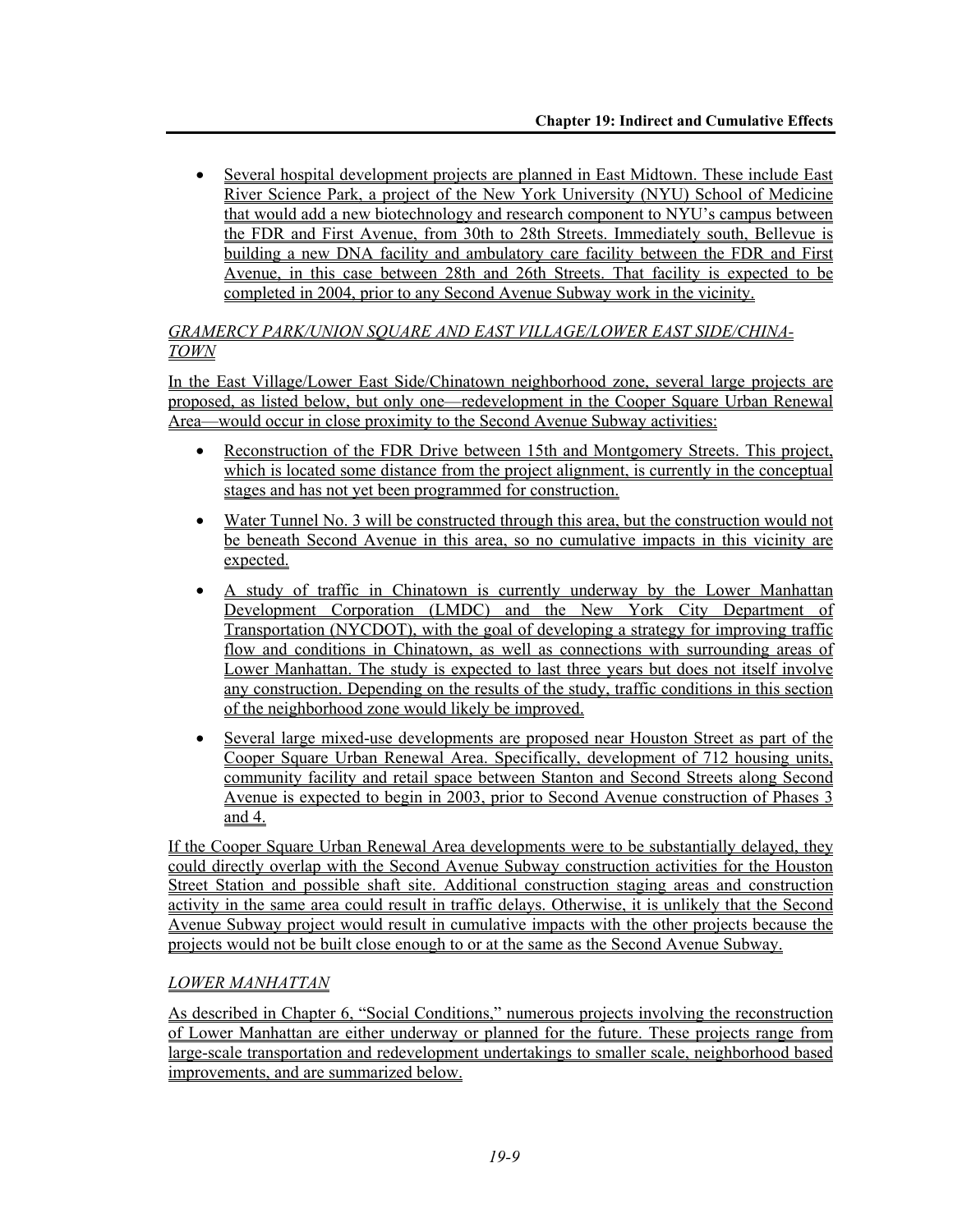• Several hospital development projects are planned in East Midtown. These include East River Science Park, a project of the New York University (NYU) School of Medicine that would add a new biotechnology and research component to NYU's campus between the FDR and First Avenue, from 30th to 28th Streets. Immediately south, Bellevue is building a new DNA facility and ambulatory care facility between the FDR and First Avenue, in this case between 28th and 26th Streets. That facility is expected to be completed in 2004, prior to any Second Avenue Subway work in the vicinity.

## *GRAMERCY PARK/UNION SQUARE AND EAST VILLAGE/LOWER EAST SIDE/CHINA-TOWN*

In the East Village/Lower East Side/Chinatown neighborhood zone, several large projects are proposed, as listed below, but only one—redevelopment in the Cooper Square Urban Renewal Area—would occur in close proximity to the Second Avenue Subway activities:

- Reconstruction of the FDR Drive between 15th and Montgomery Streets. This project, which is located some distance from the project alignment, is currently in the conceptual stages and has not yet been programmed for construction.
- Water Tunnel No. 3 will be constructed through this area, but the construction would not be beneath Second Avenue in this area, so no cumulative impacts in this vicinity are expected.
- A study of traffic in Chinatown is currently underway by the Lower Manhattan Development Corporation (LMDC) and the New York City Department of Transportation (NYCDOT), with the goal of developing a strategy for improving traffic flow and conditions in Chinatown, as well as connections with surrounding areas of Lower Manhattan. The study is expected to last three years but does not itself involve any construction. Depending on the results of the study, traffic conditions in this section of the neighborhood zone would likely be improved.
- Several large mixed-use developments are proposed near Houston Street as part of the Cooper Square Urban Renewal Area. Specifically, development of 712 housing units, community facility and retail space between Stanton and Second Streets along Second Avenue is expected to begin in 2003, prior to Second Avenue construction of Phases 3 and 4.

If the Cooper Square Urban Renewal Area developments were to be substantially delayed, they could directly overlap with the Second Avenue Subway construction activities for the Houston Street Station and possible shaft site. Additional construction staging areas and construction activity in the same area could result in traffic delays. Otherwise, it is unlikely that the Second Avenue Subway project would result in cumulative impacts with the other projects because the projects would not be built close enough to or at the same as the Second Avenue Subway.

# *LOWER MANHATTAN*

As described in Chapter 6, "Social Conditions," numerous projects involving the reconstruction of Lower Manhattan are either underway or planned for the future. These projects range from large-scale transportation and redevelopment undertakings to smaller scale, neighborhood based improvements, and are summarized below.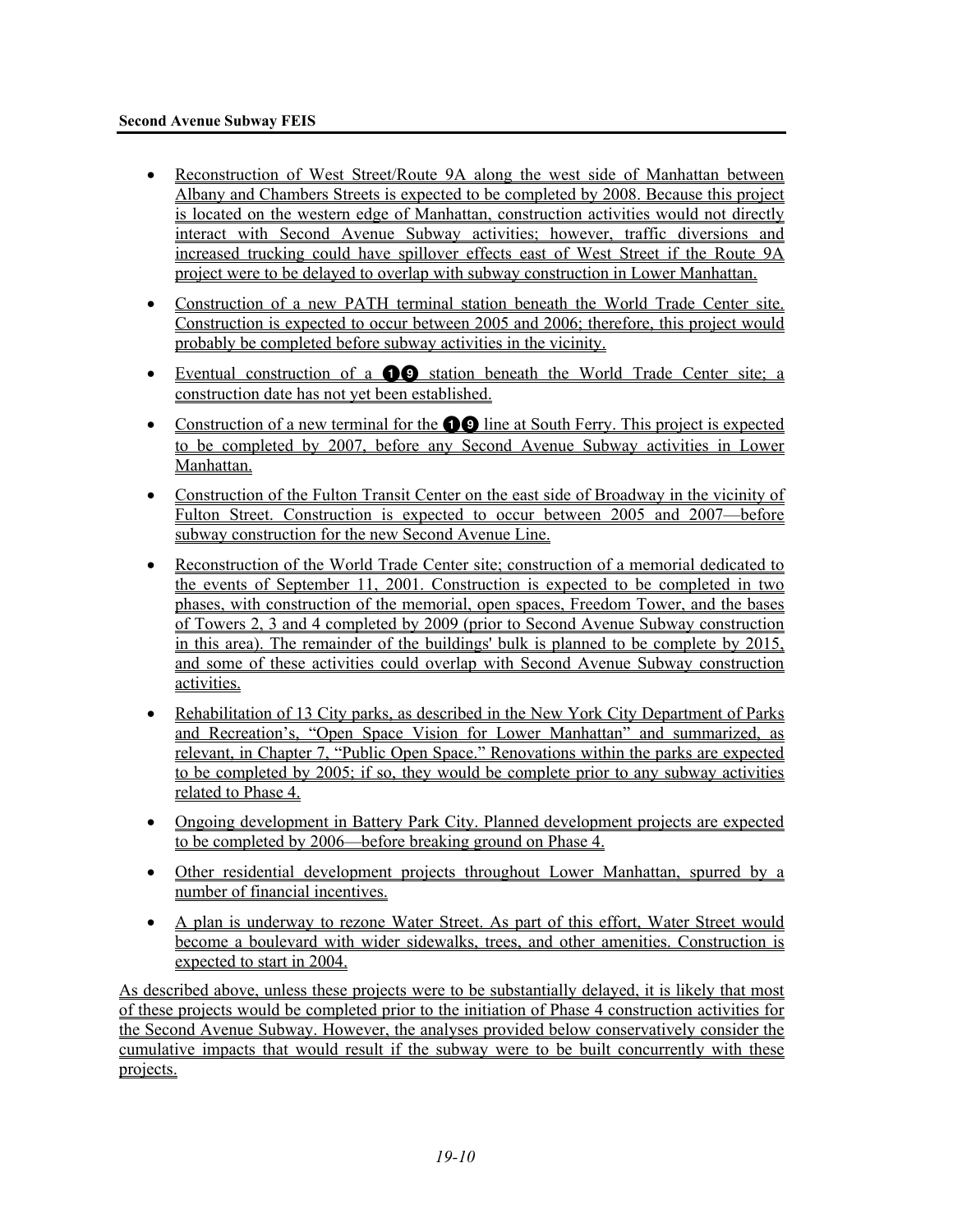- Reconstruction of West Street/Route 9A along the west side of Manhattan between Albany and Chambers Streets is expected to be completed by 2008. Because this project is located on the western edge of Manhattan, construction activities would not directly interact with Second Avenue Subway activities; however, traffic diversions and increased trucking could have spillover effects east of West Street if the Route 9A project were to be delayed to overlap with subway construction in Lower Manhattan.
- Construction of a new PATH terminal station beneath the World Trade Center site. Construction is expected to occur between 2005 and 2006; therefore, this project would probably be completed before subway activities in the vicinity.
- Eventual construction of a  $\bullet$  station beneath the World Trade Center site; a construction date has not yet been established.
- Construction of a new terminal for the  $\bullet$  line at South Ferry. This project is expected to be completed by 2007, before any Second Avenue Subway activities in Lower Manhattan.
- Construction of the Fulton Transit Center on the east side of Broadway in the vicinity of Fulton Street. Construction is expected to occur between 2005 and 2007—before subway construction for the new Second Avenue Line.
- Reconstruction of the World Trade Center site; construction of a memorial dedicated to the events of September 11, 2001. Construction is expected to be completed in two phases, with construction of the memorial, open spaces, Freedom Tower, and the bases of Towers 2, 3 and 4 completed by 2009 (prior to Second Avenue Subway construction in this area). The remainder of the buildings' bulk is planned to be complete by 2015, and some of these activities could overlap with Second Avenue Subway construction activities.
- Rehabilitation of 13 City parks, as described in the New York City Department of Parks and Recreation's, "Open Space Vision for Lower Manhattan" and summarized, as relevant, in Chapter 7, "Public Open Space." Renovations within the parks are expected to be completed by 2005; if so, they would be complete prior to any subway activities related to Phase 4.
- Ongoing development in Battery Park City. Planned development projects are expected to be completed by 2006—before breaking ground on Phase 4.
- Other residential development projects throughout Lower Manhattan, spurred by a number of financial incentives.
- A plan is underway to rezone Water Street. As part of this effort, Water Street would become a boulevard with wider sidewalks, trees, and other amenities. Construction is expected to start in 2004.

As described above, unless these projects were to be substantially delayed, it is likely that most of these projects would be completed prior to the initiation of Phase 4 construction activities for the Second Avenue Subway. However, the analyses provided below conservatively consider the cumulative impacts that would result if the subway were to be built concurrently with these projects.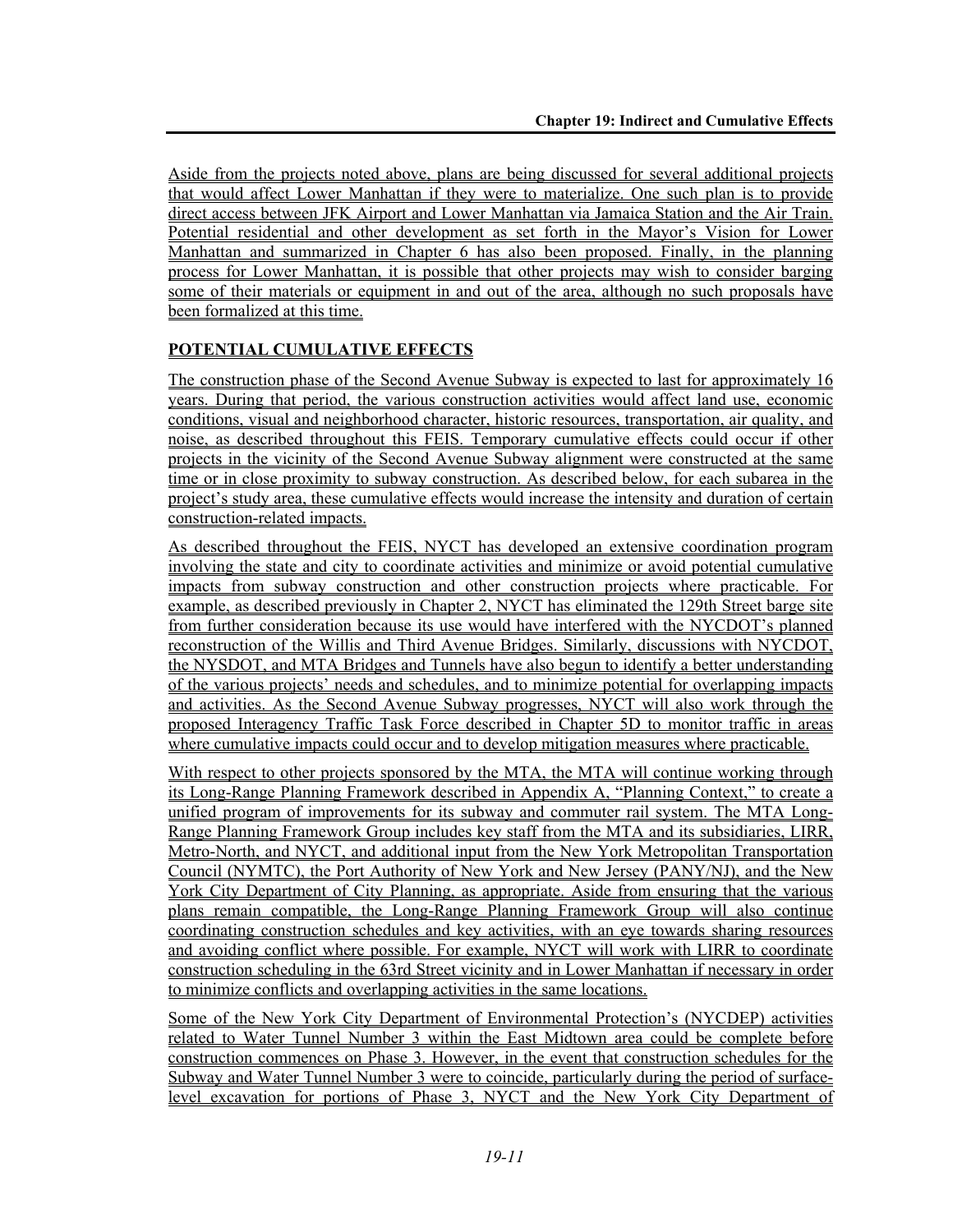Aside from the projects noted above, plans are being discussed for several additional projects that would affect Lower Manhattan if they were to materialize. One such plan is to provide direct access between JFK Airport and Lower Manhattan via Jamaica Station and the Air Train. Potential residential and other development as set forth in the Mayor's Vision for Lower Manhattan and summarized in Chapter 6 has also been proposed. Finally, in the planning process for Lower Manhattan, it is possible that other projects may wish to consider barging some of their materials or equipment in and out of the area, although no such proposals have been formalized at this time.

# **POTENTIAL CUMULATIVE EFFECTS**

The construction phase of the Second Avenue Subway is expected to last for approximately 16 years. During that period, the various construction activities would affect land use, economic conditions, visual and neighborhood character, historic resources, transportation, air quality, and noise, as described throughout this FEIS. Temporary cumulative effects could occur if other projects in the vicinity of the Second Avenue Subway alignment were constructed at the same time or in close proximity to subway construction. As described below, for each subarea in the project's study area, these cumulative effects would increase the intensity and duration of certain construction-related impacts.

As described throughout the FEIS, NYCT has developed an extensive coordination program involving the state and city to coordinate activities and minimize or avoid potential cumulative impacts from subway construction and other construction projects where practicable. For example, as described previously in Chapter 2, NYCT has eliminated the 129th Street barge site from further consideration because its use would have interfered with the NYCDOT's planned reconstruction of the Willis and Third Avenue Bridges. Similarly, discussions with NYCDOT, the NYSDOT, and MTA Bridges and Tunnels have also begun to identify a better understanding of the various projects' needs and schedules, and to minimize potential for overlapping impacts and activities. As the Second Avenue Subway progresses, NYCT will also work through the proposed Interagency Traffic Task Force described in Chapter 5D to monitor traffic in areas where cumulative impacts could occur and to develop mitigation measures where practicable.

With respect to other projects sponsored by the MTA, the MTA will continue working through its Long-Range Planning Framework described in Appendix A, "Planning Context," to create a unified program of improvements for its subway and commuter rail system. The MTA Long-Range Planning Framework Group includes key staff from the MTA and its subsidiaries, LIRR, Metro-North, and NYCT, and additional input from the New York Metropolitan Transportation Council (NYMTC), the Port Authority of New York and New Jersey (PANY/NJ), and the New York City Department of City Planning, as appropriate. Aside from ensuring that the various plans remain compatible, the Long-Range Planning Framework Group will also continue coordinating construction schedules and key activities, with an eye towards sharing resources and avoiding conflict where possible. For example, NYCT will work with LIRR to coordinate construction scheduling in the 63rd Street vicinity and in Lower Manhattan if necessary in order to minimize conflicts and overlapping activities in the same locations.

Some of the New York City Department of Environmental Protection's (NYCDEP) activities related to Water Tunnel Number 3 within the East Midtown area could be complete before construction commences on Phase 3. However, in the event that construction schedules for the Subway and Water Tunnel Number 3 were to coincide, particularly during the period of surfacelevel excavation for portions of Phase 3, NYCT and the New York City Department of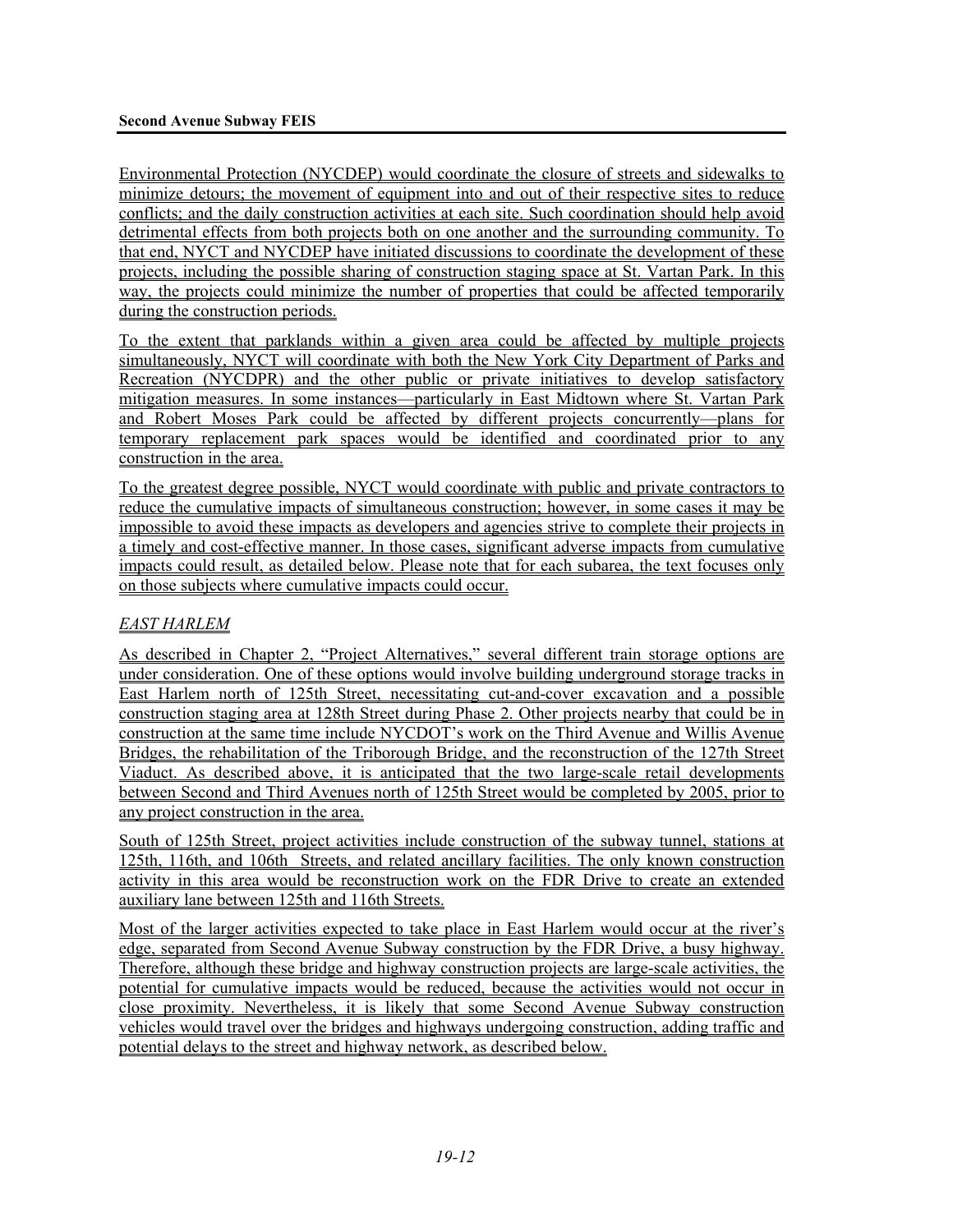Environmental Protection (NYCDEP) would coordinate the closure of streets and sidewalks to minimize detours; the movement of equipment into and out of their respective sites to reduce conflicts; and the daily construction activities at each site. Such coordination should help avoid detrimental effects from both projects both on one another and the surrounding community. To that end, NYCT and NYCDEP have initiated discussions to coordinate the development of these projects, including the possible sharing of construction staging space at St. Vartan Park. In this way, the projects could minimize the number of properties that could be affected temporarily during the construction periods.

To the extent that parklands within a given area could be affected by multiple projects simultaneously, NYCT will coordinate with both the New York City Department of Parks and Recreation (NYCDPR) and the other public or private initiatives to develop satisfactory mitigation measures. In some instances—particularly in East Midtown where St. Vartan Park and Robert Moses Park could be affected by different projects concurrently—plans for temporary replacement park spaces would be identified and coordinated prior to any construction in the area.

To the greatest degree possible, NYCT would coordinate with public and private contractors to reduce the cumulative impacts of simultaneous construction; however, in some cases it may be impossible to avoid these impacts as developers and agencies strive to complete their projects in a timely and cost-effective manner. In those cases, significant adverse impacts from cumulative impacts could result, as detailed below. Please note that for each subarea, the text focuses only on those subjects where cumulative impacts could occur.

# *EAST HARLEM*

As described in Chapter 2, "Project Alternatives," several different train storage options are under consideration. One of these options would involve building underground storage tracks in East Harlem north of 125th Street, necessitating cut-and-cover excavation and a possible construction staging area at 128th Street during Phase 2. Other projects nearby that could be in construction at the same time include NYCDOT's work on the Third Avenue and Willis Avenue Bridges, the rehabilitation of the Triborough Bridge, and the reconstruction of the 127th Street Viaduct. As described above, it is anticipated that the two large-scale retail developments between Second and Third Avenues north of 125th Street would be completed by 2005, prior to any project construction in the area.

South of 125th Street, project activities include construction of the subway tunnel, stations at 125th, 116th, and 106th Streets, and related ancillary facilities. The only known construction activity in this area would be reconstruction work on the FDR Drive to create an extended auxiliary lane between 125th and 116th Streets.

Most of the larger activities expected to take place in East Harlem would occur at the river's edge, separated from Second Avenue Subway construction by the FDR Drive, a busy highway. Therefore, although these bridge and highway construction projects are large-scale activities, the potential for cumulative impacts would be reduced, because the activities would not occur in close proximity. Nevertheless, it is likely that some Second Avenue Subway construction vehicles would travel over the bridges and highways undergoing construction, adding traffic and potential delays to the street and highway network, as described below.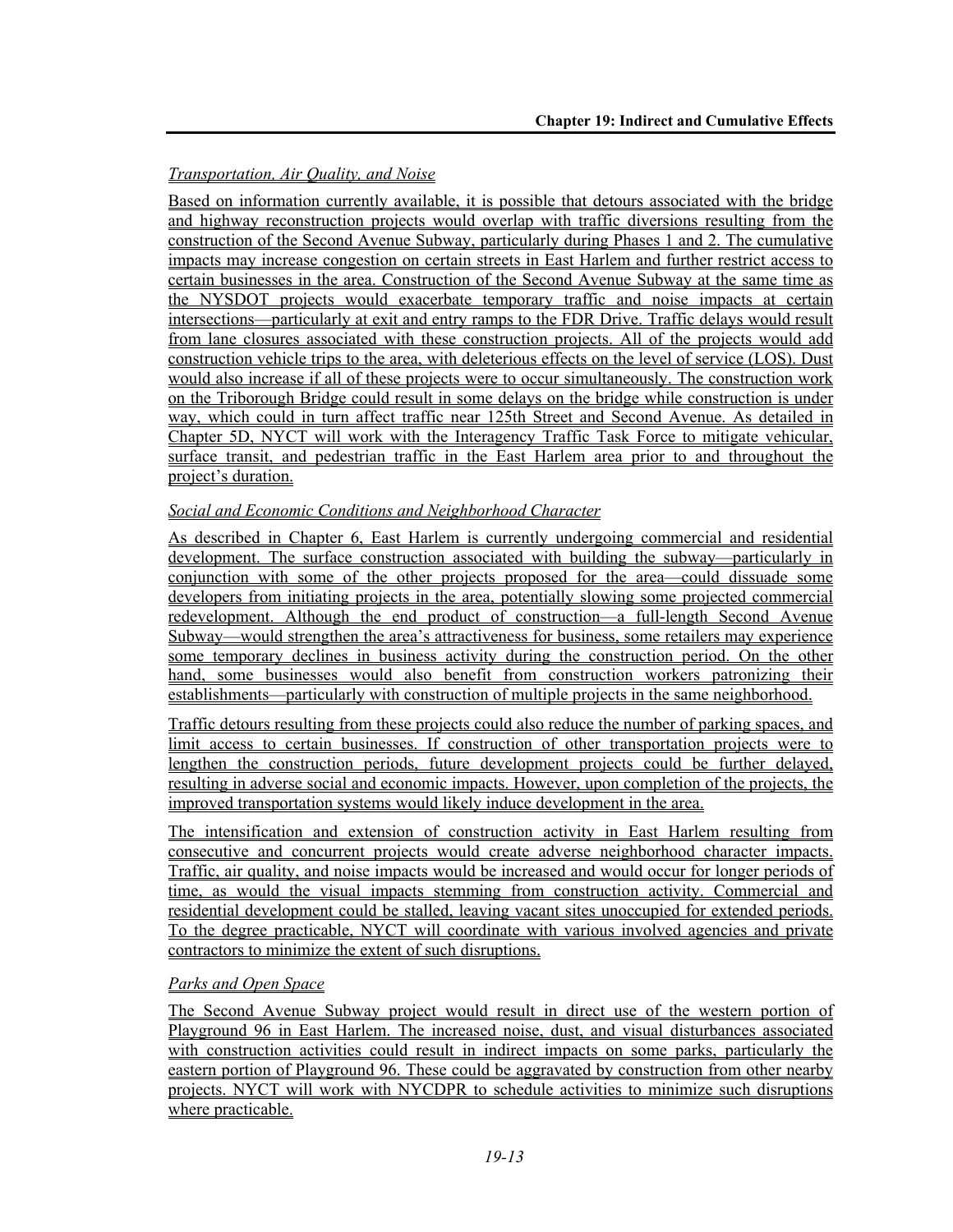# *Transportation, Air Quality, and Noise*

Based on information currently available, it is possible that detours associated with the bridge and highway reconstruction projects would overlap with traffic diversions resulting from the construction of the Second Avenue Subway, particularly during Phases 1 and 2. The cumulative impacts may increase congestion on certain streets in East Harlem and further restrict access to certain businesses in the area. Construction of the Second Avenue Subway at the same time as the NYSDOT projects would exacerbate temporary traffic and noise impacts at certain intersections—particularly at exit and entry ramps to the FDR Drive. Traffic delays would result from lane closures associated with these construction projects. All of the projects would add construction vehicle trips to the area, with deleterious effects on the level of service (LOS). Dust would also increase if all of these projects were to occur simultaneously. The construction work on the Triborough Bridge could result in some delays on the bridge while construction is under way, which could in turn affect traffic near 125th Street and Second Avenue. As detailed in Chapter 5D, NYCT will work with the Interagency Traffic Task Force to mitigate vehicular, surface transit, and pedestrian traffic in the East Harlem area prior to and throughout the project's duration.

# *Social and Economic Conditions and Neighborhood Character*

As described in Chapter 6, East Harlem is currently undergoing commercial and residential development. The surface construction associated with building the subway—particularly in conjunction with some of the other projects proposed for the area—could dissuade some developers from initiating projects in the area, potentially slowing some projected commercial redevelopment. Although the end product of construction—a full-length Second Avenue Subway—would strengthen the area's attractiveness for business, some retailers may experience some temporary declines in business activity during the construction period. On the other hand, some businesses would also benefit from construction workers patronizing their establishments—particularly with construction of multiple projects in the same neighborhood.

Traffic detours resulting from these projects could also reduce the number of parking spaces, and limit access to certain businesses. If construction of other transportation projects were to lengthen the construction periods, future development projects could be further delayed, resulting in adverse social and economic impacts. However, upon completion of the projects, the improved transportation systems would likely induce development in the area.

The intensification and extension of construction activity in East Harlem resulting from consecutive and concurrent projects would create adverse neighborhood character impacts. Traffic, air quality, and noise impacts would be increased and would occur for longer periods of time, as would the visual impacts stemming from construction activity. Commercial and residential development could be stalled, leaving vacant sites unoccupied for extended periods. To the degree practicable, NYCT will coordinate with various involved agencies and private contractors to minimize the extent of such disruptions.

## *Parks and Open Space*

The Second Avenue Subway project would result in direct use of the western portion of Playground 96 in East Harlem. The increased noise, dust, and visual disturbances associated with construction activities could result in indirect impacts on some parks, particularly the eastern portion of Playground 96. These could be aggravated by construction from other nearby projects. NYCT will work with NYCDPR to schedule activities to minimize such disruptions where practicable.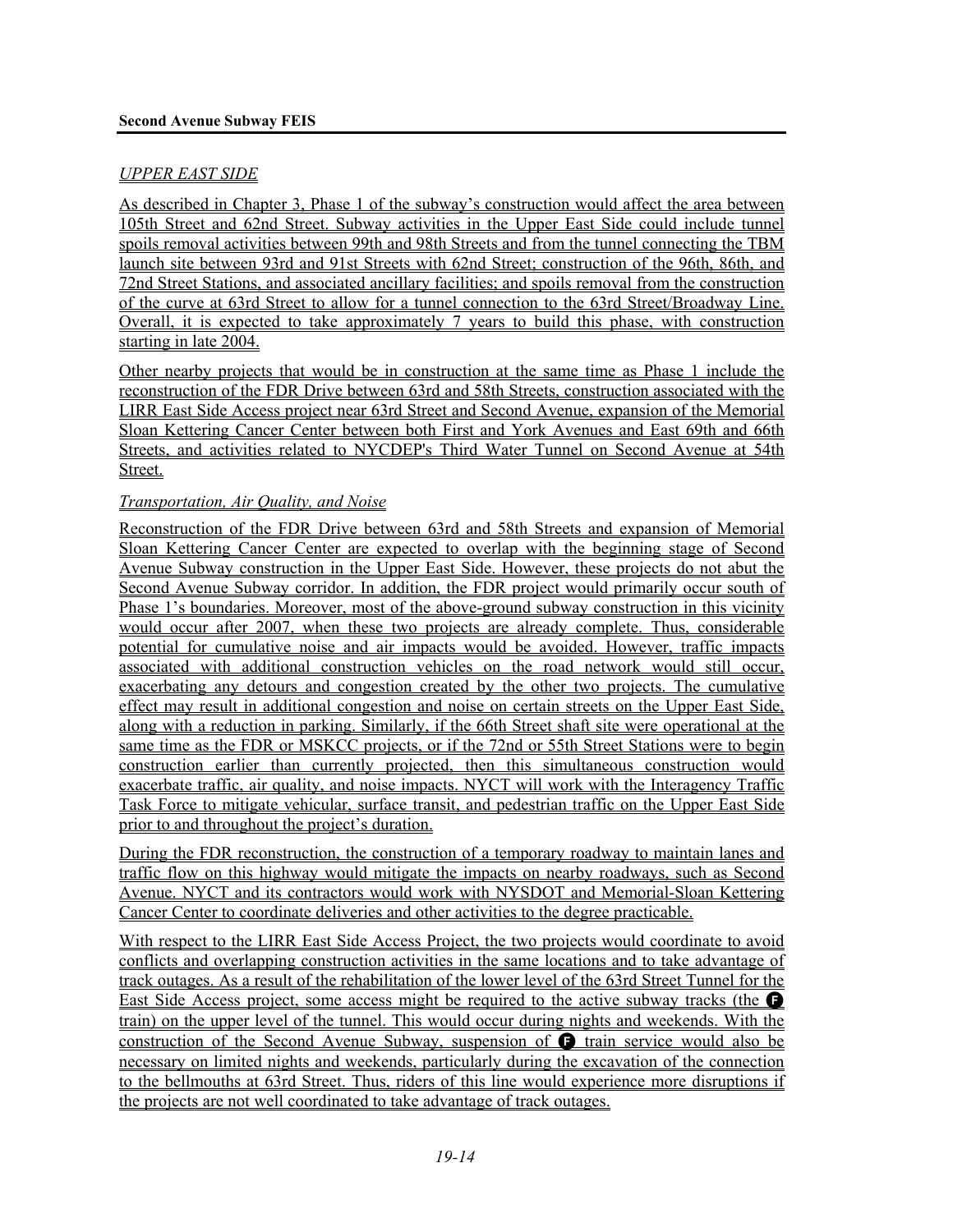## *UPPER EAST SIDE*

As described in Chapter 3, Phase 1 of the subway's construction would affect the area between 105th Street and 62nd Street. Subway activities in the Upper East Side could include tunnel spoils removal activities between 99th and 98th Streets and from the tunnel connecting the TBM launch site between 93rd and 91st Streets with 62nd Street; construction of the 96th, 86th, and 72nd Street Stations, and associated ancillary facilities; and spoils removal from the construction of the curve at 63rd Street to allow for a tunnel connection to the 63rd Street/Broadway Line. Overall, it is expected to take approximately 7 years to build this phase, with construction starting in late 2004.

Other nearby projects that would be in construction at the same time as Phase 1 include the reconstruction of the FDR Drive between 63rd and 58th Streets, construction associated with the LIRR East Side Access project near 63rd Street and Second Avenue, expansion of the Memorial Sloan Kettering Cancer Center between both First and York Avenues and East 69th and 66th Streets, and activities related to NYCDEP's Third Water Tunnel on Second Avenue at 54th Street.

#### *Transportation, Air Quality, and Noise*

Reconstruction of the FDR Drive between 63rd and 58th Streets and expansion of Memorial Sloan Kettering Cancer Center are expected to overlap with the beginning stage of Second Avenue Subway construction in the Upper East Side. However, these projects do not abut the Second Avenue Subway corridor. In addition, the FDR project would primarily occur south of Phase 1's boundaries. Moreover, most of the above-ground subway construction in this vicinity would occur after 2007, when these two projects are already complete. Thus, considerable potential for cumulative noise and air impacts would be avoided. However, traffic impacts associated with additional construction vehicles on the road network would still occur, exacerbating any detours and congestion created by the other two projects. The cumulative effect may result in additional congestion and noise on certain streets on the Upper East Side, along with a reduction in parking. Similarly, if the 66th Street shaft site were operational at the same time as the FDR or MSKCC projects, or if the 72nd or 55th Street Stations were to begin construction earlier than currently projected, then this simultaneous construction would exacerbate traffic, air quality, and noise impacts. NYCT will work with the Interagency Traffic Task Force to mitigate vehicular, surface transit, and pedestrian traffic on the Upper East Side prior to and throughout the project's duration.

During the FDR reconstruction, the construction of a temporary roadway to maintain lanes and traffic flow on this highway would mitigate the impacts on nearby roadways, such as Second Avenue. NYCT and its contractors would work with NYSDOT and Memorial-Sloan Kettering Cancer Center to coordinate deliveries and other activities to the degree practicable.

With respect to the LIRR East Side Access Project, the two projects would coordinate to avoid conflicts and overlapping construction activities in the same locations and to take advantage of track outages. As a result of the rehabilitation of the lower level of the 63rd Street Tunnel for the East Side Access project, some access might be required to the active subway tracks (the **F** train) on the upper level of the tunnel. This would occur during nights and weekends. With the construction of the Second Avenue Subway, suspension of  $\bullet$  train service would also be necessary on limited nights and weekends, particularly during the excavation of the connection to the bellmouths at 63rd Street. Thus, riders of this line would experience more disruptions if the projects are not well coordinated to take advantage of track outages.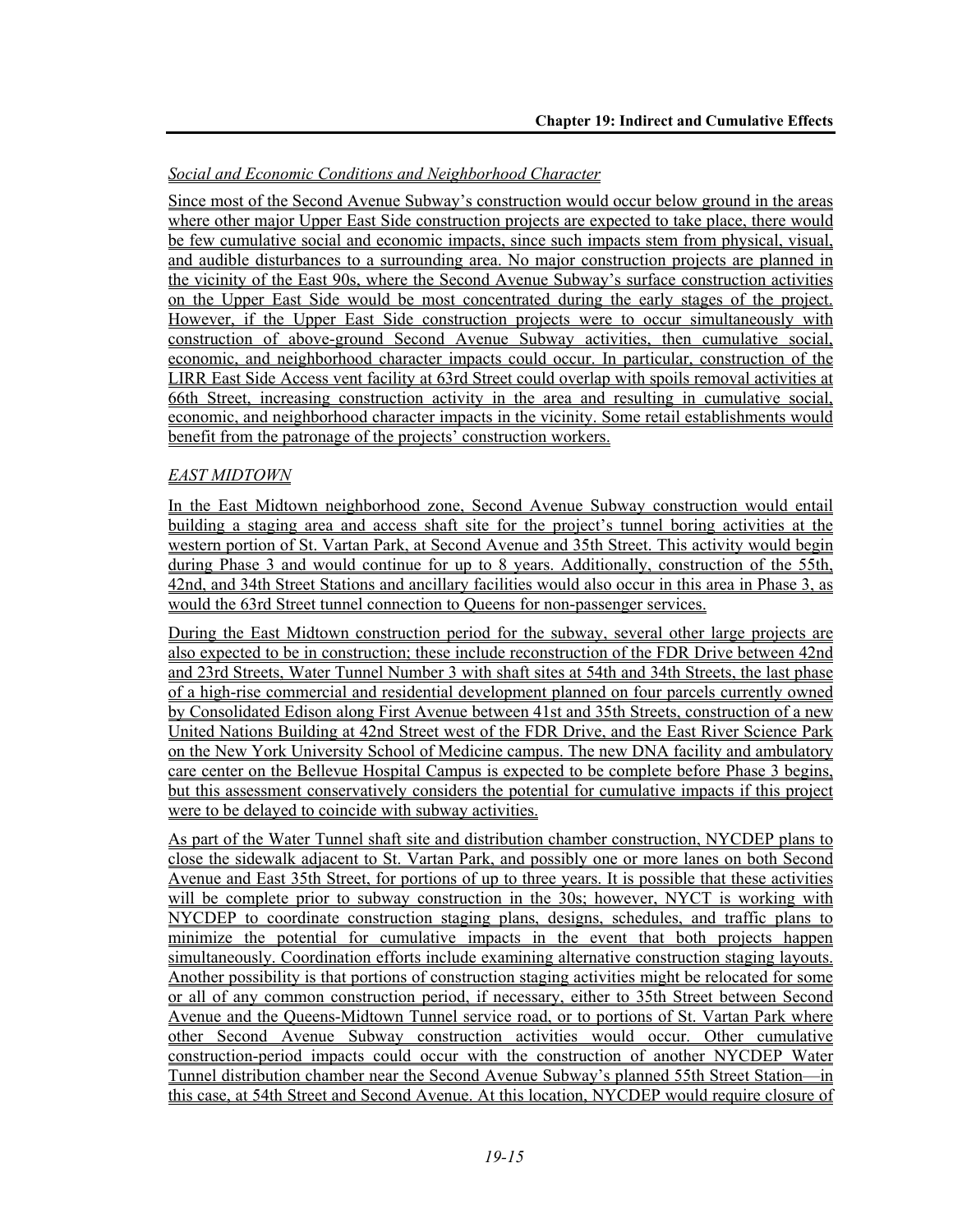# *Social and Economic Conditions and Neighborhood Character*

Since most of the Second Avenue Subway's construction would occur below ground in the areas where other major Upper East Side construction projects are expected to take place, there would be few cumulative social and economic impacts, since such impacts stem from physical, visual, and audible disturbances to a surrounding area. No major construction projects are planned in the vicinity of the East 90s, where the Second Avenue Subway's surface construction activities on the Upper East Side would be most concentrated during the early stages of the project. However, if the Upper East Side construction projects were to occur simultaneously with construction of above-ground Second Avenue Subway activities, then cumulative social, economic, and neighborhood character impacts could occur. In particular, construction of the LIRR East Side Access vent facility at 63rd Street could overlap with spoils removal activities at 66th Street, increasing construction activity in the area and resulting in cumulative social, economic, and neighborhood character impacts in the vicinity. Some retail establishments would benefit from the patronage of the projects' construction workers.

# *EAST MIDTOWN*

In the East Midtown neighborhood zone, Second Avenue Subway construction would entail building a staging area and access shaft site for the project's tunnel boring activities at the western portion of St. Vartan Park, at Second Avenue and 35th Street. This activity would begin during Phase 3 and would continue for up to 8 years. Additionally, construction of the 55th, 42nd, and 34th Street Stations and ancillary facilities would also occur in this area in Phase 3, as would the 63rd Street tunnel connection to Queens for non-passenger services.

During the East Midtown construction period for the subway, several other large projects are also expected to be in construction; these include reconstruction of the FDR Drive between 42nd and 23rd Streets, Water Tunnel Number 3 with shaft sites at 54th and 34th Streets, the last phase of a high-rise commercial and residential development planned on four parcels currently owned by Consolidated Edison along First Avenue between 41st and 35th Streets, construction of a new United Nations Building at 42nd Street west of the FDR Drive, and the East River Science Park on the New York University School of Medicine campus. The new DNA facility and ambulatory care center on the Bellevue Hospital Campus is expected to be complete before Phase 3 begins, but this assessment conservatively considers the potential for cumulative impacts if this project were to be delayed to coincide with subway activities.

As part of the Water Tunnel shaft site and distribution chamber construction, NYCDEP plans to close the sidewalk adjacent to St. Vartan Park, and possibly one or more lanes on both Second Avenue and East 35th Street, for portions of up to three years. It is possible that these activities will be complete prior to subway construction in the 30s; however, NYCT is working with NYCDEP to coordinate construction staging plans, designs, schedules, and traffic plans to minimize the potential for cumulative impacts in the event that both projects happen simultaneously. Coordination efforts include examining alternative construction staging layouts. Another possibility is that portions of construction staging activities might be relocated for some or all of any common construction period, if necessary, either to 35th Street between Second Avenue and the Queens-Midtown Tunnel service road, or to portions of St. Vartan Park where other Second Avenue Subway construction activities would occur. Other cumulative construction-period impacts could occur with the construction of another NYCDEP Water Tunnel distribution chamber near the Second Avenue Subway's planned 55th Street Station—in this case, at 54th Street and Second Avenue. At this location, NYCDEP would require closure of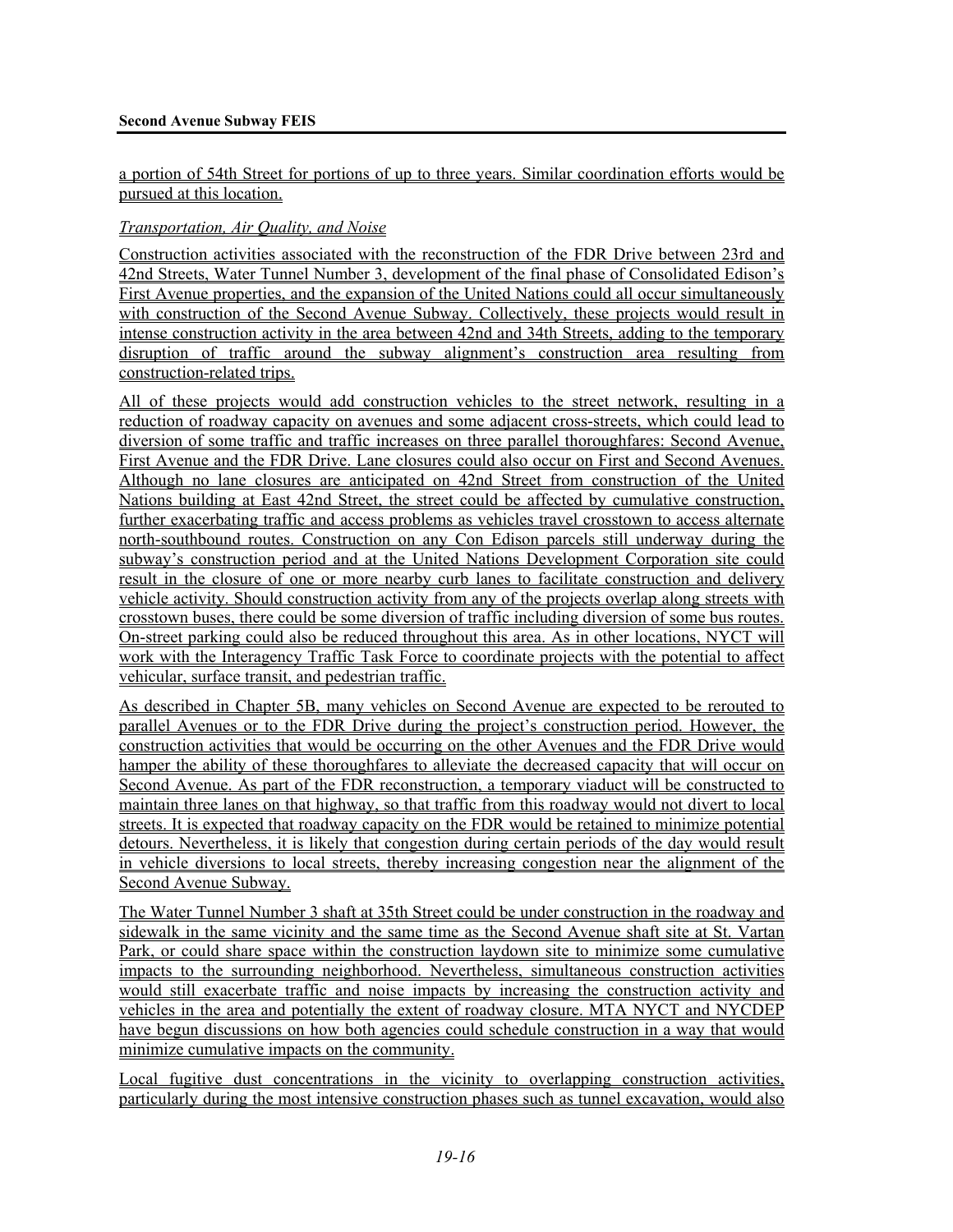a portion of 54th Street for portions of up to three years. Similar coordination efforts would be pursued at this location.

## *Transportation, Air Quality, and Noise*

Construction activities associated with the reconstruction of the FDR Drive between 23rd and 42nd Streets, Water Tunnel Number 3, development of the final phase of Consolidated Edison's First Avenue properties, and the expansion of the United Nations could all occur simultaneously with construction of the Second Avenue Subway. Collectively, these projects would result in intense construction activity in the area between 42nd and 34th Streets, adding to the temporary disruption of traffic around the subway alignment's construction area resulting from construction-related trips.

All of these projects would add construction vehicles to the street network, resulting in a reduction of roadway capacity on avenues and some adjacent cross-streets, which could lead to diversion of some traffic and traffic increases on three parallel thoroughfares: Second Avenue, First Avenue and the FDR Drive. Lane closures could also occur on First and Second Avenues. Although no lane closures are anticipated on 42nd Street from construction of the United Nations building at East 42nd Street, the street could be affected by cumulative construction, further exacerbating traffic and access problems as vehicles travel crosstown to access alternate north-southbound routes. Construction on any Con Edison parcels still underway during the subway's construction period and at the United Nations Development Corporation site could result in the closure of one or more nearby curb lanes to facilitate construction and delivery vehicle activity. Should construction activity from any of the projects overlap along streets with crosstown buses, there could be some diversion of traffic including diversion of some bus routes. On-street parking could also be reduced throughout this area. As in other locations, NYCT will work with the Interagency Traffic Task Force to coordinate projects with the potential to affect vehicular, surface transit, and pedestrian traffic.

As described in Chapter 5B, many vehicles on Second Avenue are expected to be rerouted to parallel Avenues or to the FDR Drive during the project's construction period. However, the construction activities that would be occurring on the other Avenues and the FDR Drive would hamper the ability of these thoroughfares to alleviate the decreased capacity that will occur on Second Avenue. As part of the FDR reconstruction, a temporary viaduct will be constructed to maintain three lanes on that highway, so that traffic from this roadway would not divert to local streets. It is expected that roadway capacity on the FDR would be retained to minimize potential detours. Nevertheless, it is likely that congestion during certain periods of the day would result in vehicle diversions to local streets, thereby increasing congestion near the alignment of the Second Avenue Subway.

The Water Tunnel Number 3 shaft at 35th Street could be under construction in the roadway and sidewalk in the same vicinity and the same time as the Second Avenue shaft site at St. Vartan Park, or could share space within the construction laydown site to minimize some cumulative impacts to the surrounding neighborhood. Nevertheless, simultaneous construction activities would still exacerbate traffic and noise impacts by increasing the construction activity and vehicles in the area and potentially the extent of roadway closure. MTA NYCT and NYCDEP have begun discussions on how both agencies could schedule construction in a way that would minimize cumulative impacts on the community.

Local fugitive dust concentrations in the vicinity to overlapping construction activities, particularly during the most intensive construction phases such as tunnel excavation, would also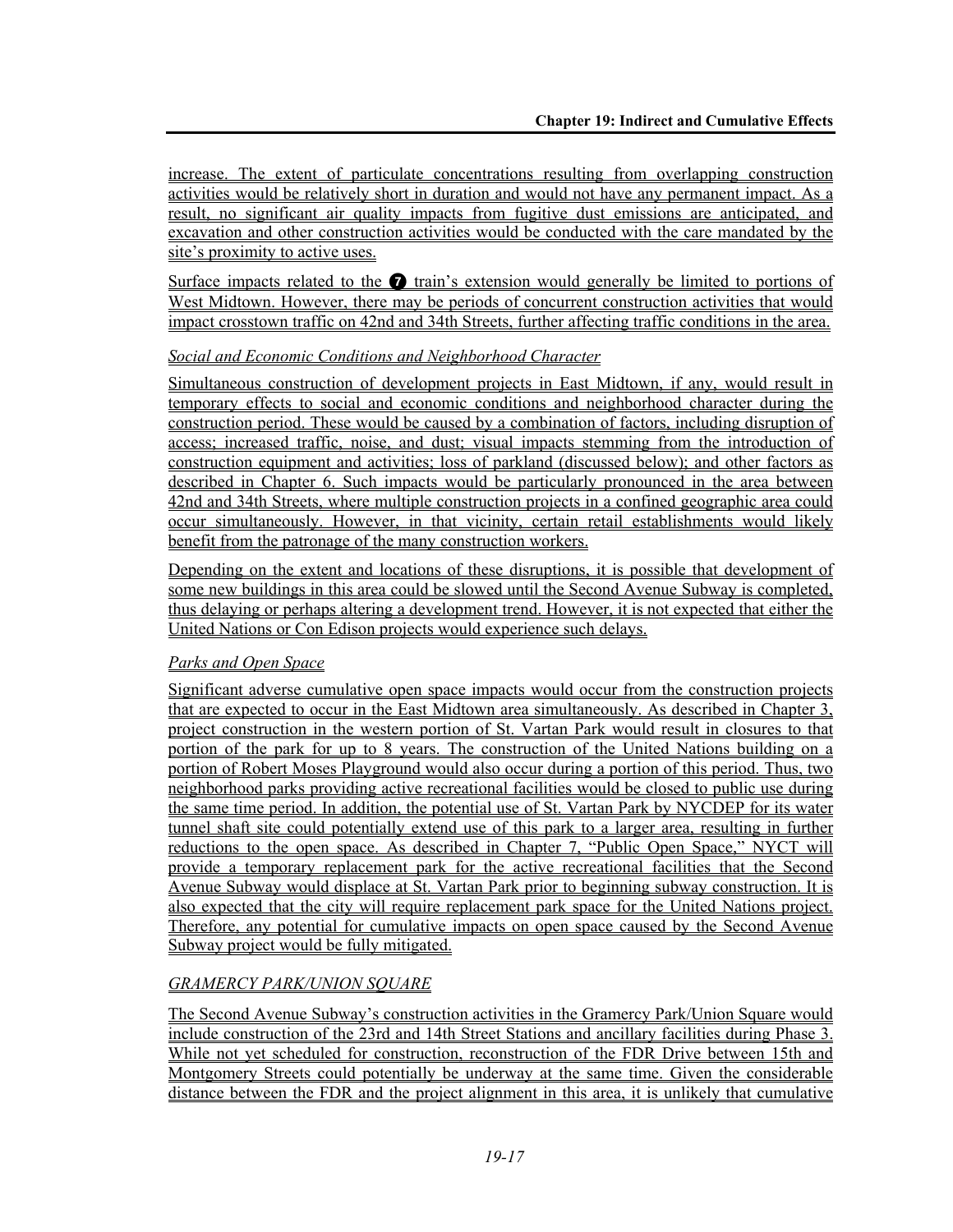increase. The extent of particulate concentrations resulting from overlapping construction activities would be relatively short in duration and would not have any permanent impact. As a result, no significant air quality impacts from fugitive dust emissions are anticipated, and excavation and other construction activities would be conducted with the care mandated by the site's proximity to active uses.

Surface impacts related to the  $\bullet$  train's extension would generally be limited to portions of West Midtown. However, there may be periods of concurrent construction activities that would impact crosstown traffic on 42nd and 34th Streets, further affecting traffic conditions in the area.

## *Social and Economic Conditions and Neighborhood Character*

Simultaneous construction of development projects in East Midtown, if any, would result in temporary effects to social and economic conditions and neighborhood character during the construction period. These would be caused by a combination of factors, including disruption of access; increased traffic, noise, and dust; visual impacts stemming from the introduction of construction equipment and activities; loss of parkland (discussed below); and other factors as described in Chapter 6. Such impacts would be particularly pronounced in the area between 42nd and 34th Streets, where multiple construction projects in a confined geographic area could occur simultaneously. However, in that vicinity, certain retail establishments would likely benefit from the patronage of the many construction workers.

Depending on the extent and locations of these disruptions, it is possible that development of some new buildings in this area could be slowed until the Second Avenue Subway is completed, thus delaying or perhaps altering a development trend. However, it is not expected that either the United Nations or Con Edison projects would experience such delays.

# *Parks and Open Space*

Significant adverse cumulative open space impacts would occur from the construction projects that are expected to occur in the East Midtown area simultaneously. As described in Chapter 3, project construction in the western portion of St. Vartan Park would result in closures to that portion of the park for up to 8 years. The construction of the United Nations building on a portion of Robert Moses Playground would also occur during a portion of this period. Thus, two neighborhood parks providing active recreational facilities would be closed to public use during the same time period. In addition, the potential use of St. Vartan Park by NYCDEP for its water tunnel shaft site could potentially extend use of this park to a larger area, resulting in further reductions to the open space. As described in Chapter 7, "Public Open Space," NYCT will provide a temporary replacement park for the active recreational facilities that the Second Avenue Subway would displace at St. Vartan Park prior to beginning subway construction. It is also expected that the city will require replacement park space for the United Nations project. Therefore, any potential for cumulative impacts on open space caused by the Second Avenue Subway project would be fully mitigated.

# *GRAMERCY PARK/UNION SQUARE*

The Second Avenue Subway's construction activities in the Gramercy Park/Union Square would include construction of the 23rd and 14th Street Stations and ancillary facilities during Phase 3. While not yet scheduled for construction, reconstruction of the FDR Drive between 15th and Montgomery Streets could potentially be underway at the same time. Given the considerable distance between the FDR and the project alignment in this area, it is unlikely that cumulative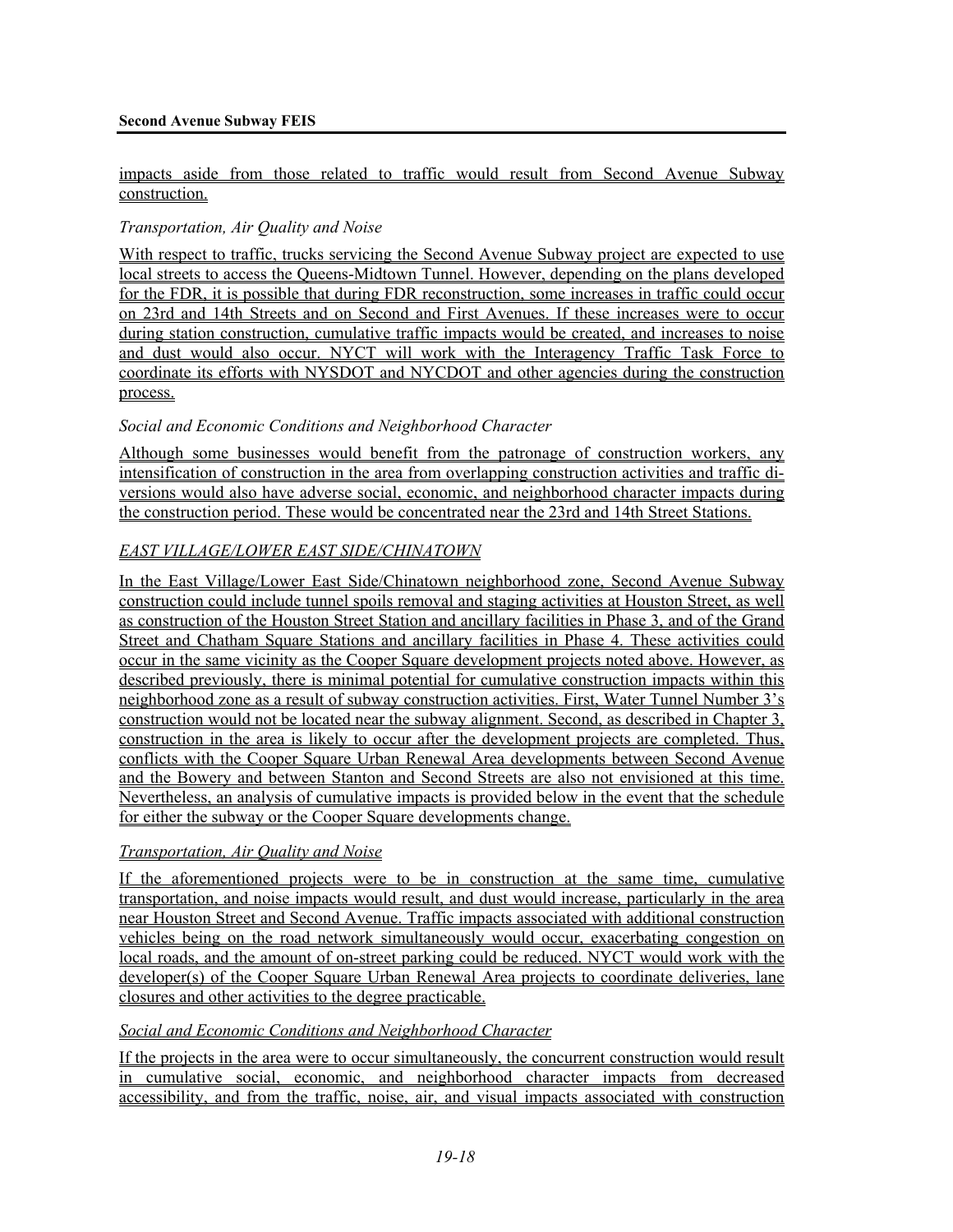#### impacts aside from those related to traffic would result from Second Avenue Subway construction.

## *Transportation, Air Quality and Noise*

With respect to traffic, trucks servicing the Second Avenue Subway project are expected to use local streets to access the Queens-Midtown Tunnel. However, depending on the plans developed for the FDR, it is possible that during FDR reconstruction, some increases in traffic could occur on 23rd and 14th Streets and on Second and First Avenues. If these increases were to occur during station construction, cumulative traffic impacts would be created, and increases to noise and dust would also occur. NYCT will work with the Interagency Traffic Task Force to coordinate its efforts with NYSDOT and NYCDOT and other agencies during the construction process.

#### *Social and Economic Conditions and Neighborhood Character*

Although some businesses would benefit from the patronage of construction workers, any intensification of construction in the area from overlapping construction activities and traffic diversions would also have adverse social, economic, and neighborhood character impacts during the construction period. These would be concentrated near the 23rd and 14th Street Stations.

## *EAST VILLAGE/LOWER EAST SIDE/CHINATOWN*

In the East Village/Lower East Side/Chinatown neighborhood zone, Second Avenue Subway construction could include tunnel spoils removal and staging activities at Houston Street, as well as construction of the Houston Street Station and ancillary facilities in Phase 3, and of the Grand Street and Chatham Square Stations and ancillary facilities in Phase 4. These activities could occur in the same vicinity as the Cooper Square development projects noted above. However, as described previously, there is minimal potential for cumulative construction impacts within this neighborhood zone as a result of subway construction activities. First, Water Tunnel Number 3's construction would not be located near the subway alignment. Second, as described in Chapter 3, construction in the area is likely to occur after the development projects are completed. Thus, conflicts with the Cooper Square Urban Renewal Area developments between Second Avenue and the Bowery and between Stanton and Second Streets are also not envisioned at this time. Nevertheless, an analysis of cumulative impacts is provided below in the event that the schedule for either the subway or the Cooper Square developments change.

## *Transportation, Air Quality and Noise*

If the aforementioned projects were to be in construction at the same time, cumulative transportation, and noise impacts would result, and dust would increase, particularly in the area near Houston Street and Second Avenue. Traffic impacts associated with additional construction vehicles being on the road network simultaneously would occur, exacerbating congestion on local roads, and the amount of on-street parking could be reduced. NYCT would work with the developer(s) of the Cooper Square Urban Renewal Area projects to coordinate deliveries, lane closures and other activities to the degree practicable.

#### *Social and Economic Conditions and Neighborhood Character*

If the projects in the area were to occur simultaneously, the concurrent construction would result in cumulative social, economic, and neighborhood character impacts from decreased accessibility, and from the traffic, noise, air, and visual impacts associated with construction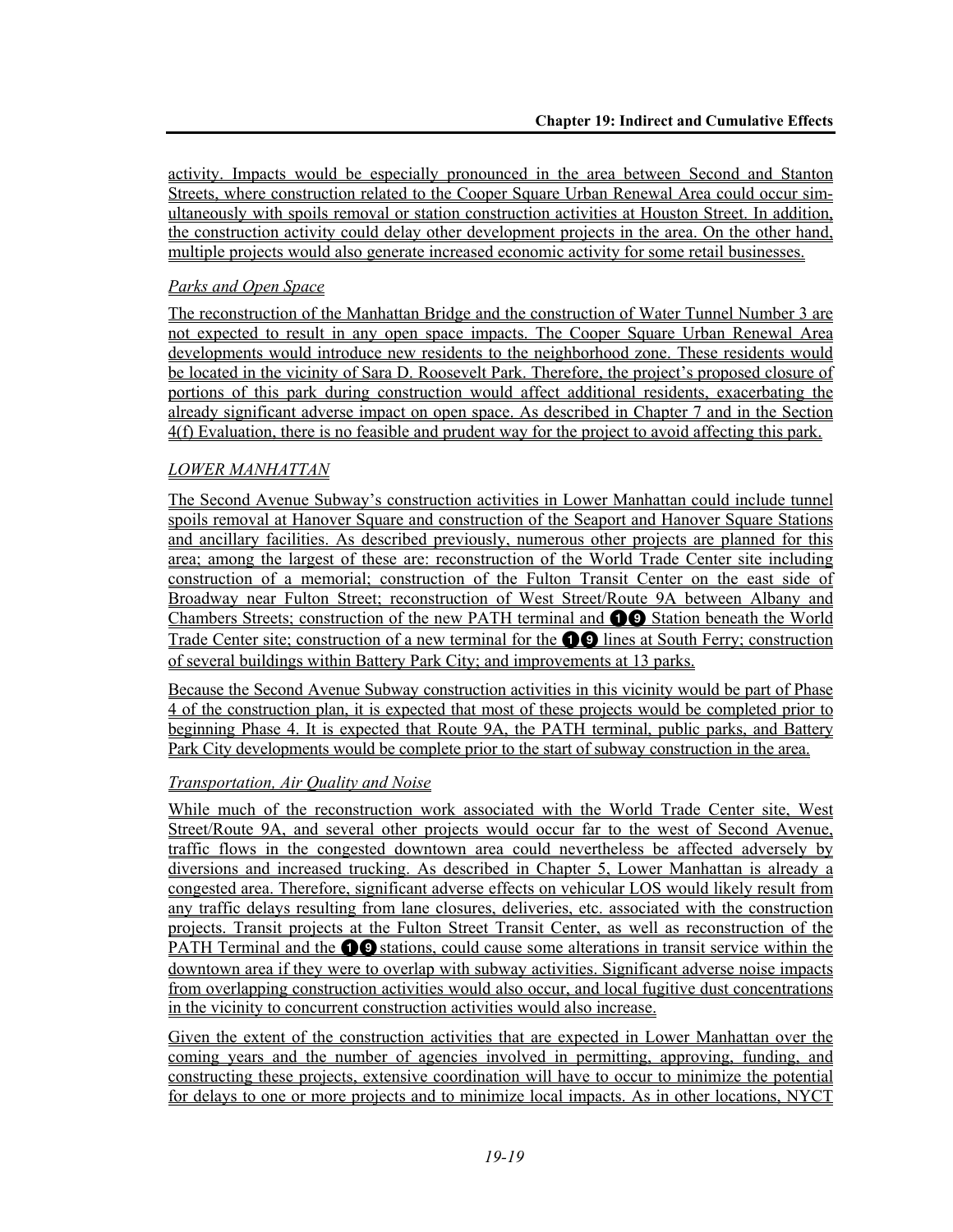activity. Impacts would be especially pronounced in the area between Second and Stanton Streets, where construction related to the Cooper Square Urban Renewal Area could occur simultaneously with spoils removal or station construction activities at Houston Street. In addition, the construction activity could delay other development projects in the area. On the other hand, multiple projects would also generate increased economic activity for some retail businesses.

## *Parks and Open Space*

The reconstruction of the Manhattan Bridge and the construction of Water Tunnel Number 3 are not expected to result in any open space impacts. The Cooper Square Urban Renewal Area developments would introduce new residents to the neighborhood zone. These residents would be located in the vicinity of Sara D. Roosevelt Park. Therefore, the project's proposed closure of portions of this park during construction would affect additional residents, exacerbating the already significant adverse impact on open space. As described in Chapter 7 and in the Section 4(f) Evaluation, there is no feasible and prudent way for the project to avoid affecting this park.

## *LOWER MANHATTAN*

The Second Avenue Subway's construction activities in Lower Manhattan could include tunnel spoils removal at Hanover Square and construction of the Seaport and Hanover Square Stations and ancillary facilities. As described previously, numerous other projects are planned for this area; among the largest of these are: reconstruction of the World Trade Center site including construction of a memorial; construction of the Fulton Transit Center on the east side of Broadway near Fulton Street; reconstruction of West Street/Route 9A between Albany and Chambers Streets; construction of the new PATH terminal and **100** Station beneath the World Trade Center site; construction of a new terminal for the  $\bigcirc$  lines at South Ferry; construction of several buildings within Battery Park City; and improvements at 13 parks.

Because the Second Avenue Subway construction activities in this vicinity would be part of Phase 4 of the construction plan, it is expected that most of these projects would be completed prior to beginning Phase 4. It is expected that Route 9A, the PATH terminal, public parks, and Battery Park City developments would be complete prior to the start of subway construction in the area.

## *Transportation, Air Quality and Noise*

While much of the reconstruction work associated with the World Trade Center site, West Street/Route 9A, and several other projects would occur far to the west of Second Avenue, traffic flows in the congested downtown area could nevertheless be affected adversely by diversions and increased trucking. As described in Chapter 5, Lower Manhattan is already a congested area. Therefore, significant adverse effects on vehicular LOS would likely result from any traffic delays resulting from lane closures, deliveries, etc. associated with the construction projects. Transit projects at the Fulton Street Transit Center, as well as reconstruction of the PATH Terminal and the  $\bigcirc$  stations, could cause some alterations in transit service within the downtown area if they were to overlap with subway activities. Significant adverse noise impacts from overlapping construction activities would also occur, and local fugitive dust concentrations in the vicinity to concurrent construction activities would also increase.

Given the extent of the construction activities that are expected in Lower Manhattan over the coming years and the number of agencies involved in permitting, approving, funding, and constructing these projects, extensive coordination will have to occur to minimize the potential for delays to one or more projects and to minimize local impacts. As in other locations, NYCT